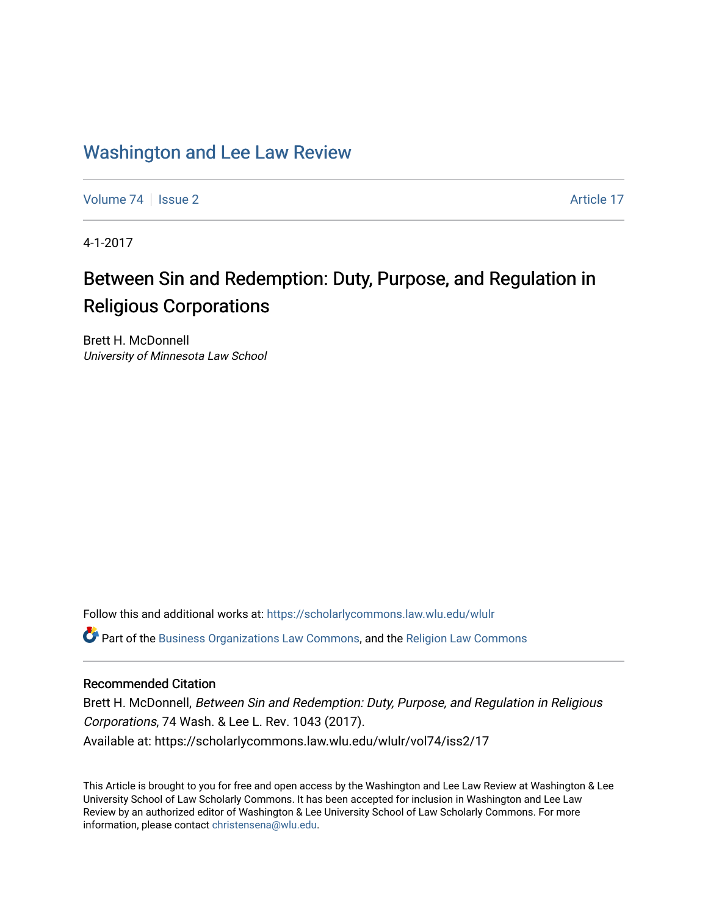# [Washington and Lee Law Review](https://scholarlycommons.law.wlu.edu/wlulr)

[Volume 74](https://scholarlycommons.law.wlu.edu/wlulr/vol74) | [Issue 2](https://scholarlycommons.law.wlu.edu/wlulr/vol74/iss2) Article 17

4-1-2017

# Between Sin and Redemption: Duty, Purpose, and Regulation in Religious Corporations

Brett H. McDonnell University of Minnesota Law School

Follow this and additional works at: [https://scholarlycommons.law.wlu.edu/wlulr](https://scholarlycommons.law.wlu.edu/wlulr?utm_source=scholarlycommons.law.wlu.edu%2Fwlulr%2Fvol74%2Fiss2%2F17&utm_medium=PDF&utm_campaign=PDFCoverPages) 

**C** Part of the [Business Organizations Law Commons](http://network.bepress.com/hgg/discipline/900?utm_source=scholarlycommons.law.wlu.edu%2Fwlulr%2Fvol74%2Fiss2%2F17&utm_medium=PDF&utm_campaign=PDFCoverPages), and the [Religion Law Commons](http://network.bepress.com/hgg/discipline/872?utm_source=scholarlycommons.law.wlu.edu%2Fwlulr%2Fvol74%2Fiss2%2F17&utm_medium=PDF&utm_campaign=PDFCoverPages)

# Recommended Citation

Brett H. McDonnell, Between Sin and Redemption: Duty, Purpose, and Regulation in Religious Corporations, 74 Wash. & Lee L. Rev. 1043 (2017). Available at: https://scholarlycommons.law.wlu.edu/wlulr/vol74/iss2/17

This Article is brought to you for free and open access by the Washington and Lee Law Review at Washington & Lee University School of Law Scholarly Commons. It has been accepted for inclusion in Washington and Lee Law Review by an authorized editor of Washington & Lee University School of Law Scholarly Commons. For more information, please contact [christensena@wlu.edu](mailto:christensena@wlu.edu).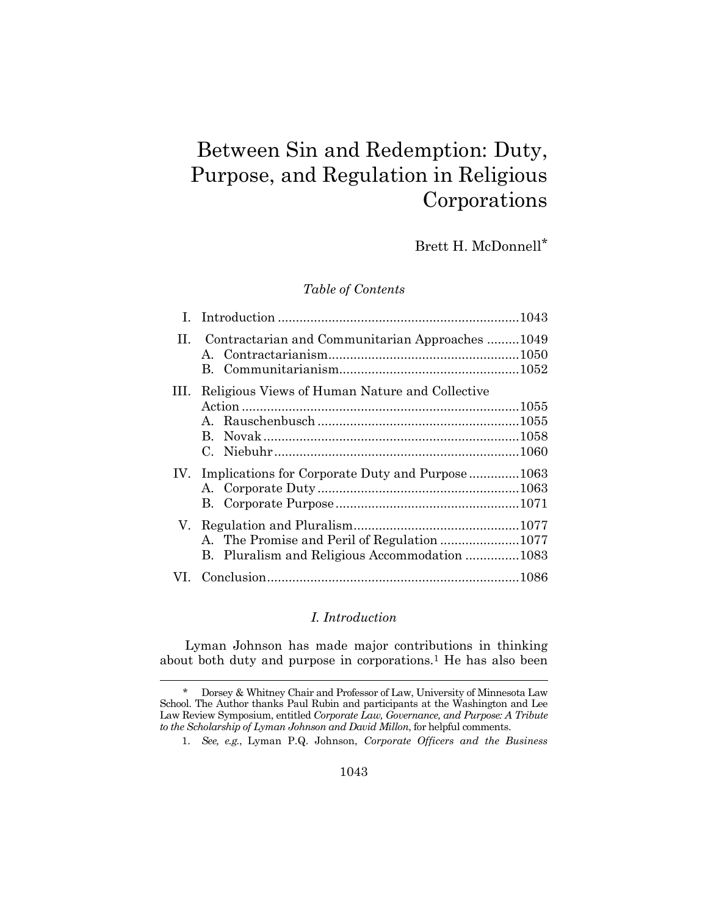# Between Sin and Redemption: Duty, Purpose, and Regulation in Religious Corporations

Brett H. McDonnell\*

*Table of Contents*

| Н.  | Contractarian and Communitarian Approaches1049  |  |
|-----|-------------------------------------------------|--|
|     |                                                 |  |
| Ш.  | Religious Views of Human Nature and Collective  |  |
|     |                                                 |  |
|     |                                                 |  |
|     | B.                                              |  |
|     |                                                 |  |
| IV. | Implications for Corporate Duty and Purpose1063 |  |
|     |                                                 |  |
|     |                                                 |  |
| V.  |                                                 |  |
|     |                                                 |  |
|     | B. Pluralism and Religious Accommodation 1083   |  |
|     |                                                 |  |

# <span id="page-1-0"></span>*I. Introduction*

Lyman Johnson has made major contributions in thinking about both duty and purpose in corporations.<sup>1</sup> He has also been

l

1. *See, e.g.*, Lyman P.Q. Johnson, *Corporate Officers and the Business* 

<sup>\*</sup> Dorsey & Whitney Chair and Professor of Law, University of Minnesota Law School. The Author thanks Paul Rubin and participants at the Washington and Lee Law Review Symposium, entitled *Corporate Law, Governance, and Purpose: A Tribute to the Scholarship of Lyman Johnson and David Millon*, for helpful comments.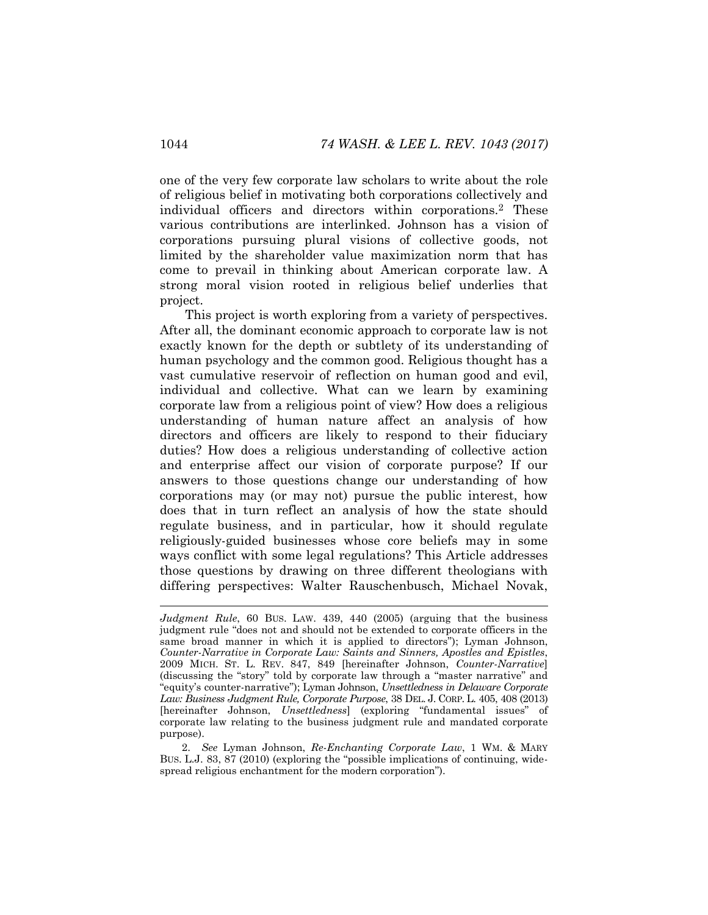<span id="page-2-0"></span>one of the very few corporate law scholars to write about the role of religious belief in motivating both corporations collectively and individual officers and directors within corporations.<sup>2</sup> These various contributions are interlinked. Johnson has a vision of corporations pursuing plural visions of collective goods, not limited by the shareholder value maximization norm that has come to prevail in thinking about American corporate law. A strong moral vision rooted in religious belief underlies that project.

This project is worth exploring from a variety of perspectives. After all, the dominant economic approach to corporate law is not exactly known for the depth or subtlety of its understanding of human psychology and the common good. Religious thought has a vast cumulative reservoir of reflection on human good and evil, individual and collective. What can we learn by examining corporate law from a religious point of view? How does a religious understanding of human nature affect an analysis of how directors and officers are likely to respond to their fiduciary duties? How does a religious understanding of collective action and enterprise affect our vision of corporate purpose? If our answers to those questions change our understanding of how corporations may (or may not) pursue the public interest, how does that in turn reflect an analysis of how the state should regulate business, and in particular, how it should regulate religiously-guided businesses whose core beliefs may in some ways conflict with some legal regulations? This Article addresses those questions by drawing on three different theologians with differing perspectives: Walter Rauschenbusch, Michael Novak,

*Judgment Rule*, 60 BUS. LAW. 439, 440 (2005) (arguing that the business judgment rule "does not and should not be extended to corporate officers in the same broad manner in which it is applied to directors"); Lyman Johnson, *Counter-Narrative in Corporate Law: Saints and Sinners, Apostles and Epistles*, 2009 MICH. ST. L. REV. 847, 849 [hereinafter Johnson, *Counter-Narrative*] (discussing the "story" told by corporate law through a "master narrative" and "equity's counter-narrative"); Lyman Johnson, *Unsettledness in Delaware Corporate Law: Business Judgment Rule, Corporate Purpose*, 38 DEL. J. CORP. L. 405, 408 (2013) [hereinafter Johnson, *Unsettledness*] (exploring "fundamental issues" of corporate law relating to the business judgment rule and mandated corporate purpose).

<sup>2.</sup> *See* Lyman Johnson, *Re-Enchanting Corporate Law*, 1 WM. & MARY BUS. L.J. 83, 87 (2010) (exploring the "possible implications of continuing, widespread religious enchantment for the modern corporation").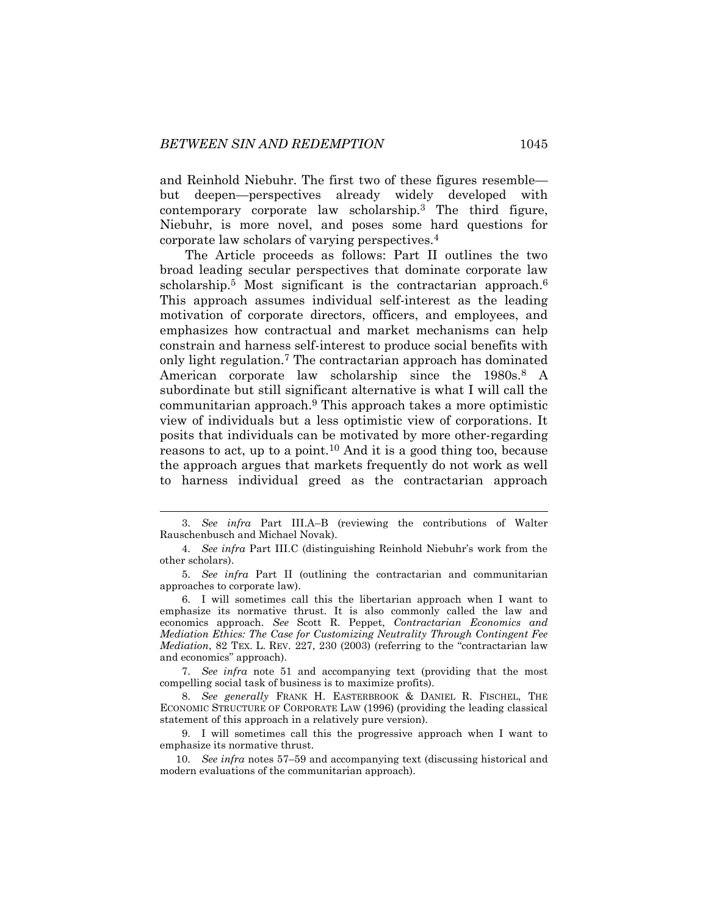and Reinhold Niebuhr. The first two of these figures resemble but deepen—perspectives already widely developed with contemporary corporate law scholarship.<sup>3</sup> The third figure, Niebuhr, is more novel, and poses some hard questions for corporate law scholars of varying perspectives.<sup>4</sup>

<span id="page-3-0"></span>The Article proceeds as follows: Part II outlines the two broad leading secular perspectives that dominate corporate law scholarship.<sup>5</sup> Most significant is the contractarian approach.<sup>6</sup> This approach assumes individual self-interest as the leading motivation of corporate directors, officers, and employees, and emphasizes how contractual and market mechanisms can help constrain and harness self-interest to produce social benefits with only light regulation.<sup>7</sup> The contractarian approach has dominated American corporate law scholarship since the 1980s.<sup>8</sup> A subordinate but still significant alternative is what I will call the communitarian approach.<sup>9</sup> This approach takes a more optimistic view of individuals but a less optimistic view of corporations. It posits that individuals can be motivated by more other-regarding reasons to act, up to a point.<sup>10</sup> And it is a good thing too, because the approach argues that markets frequently do not work as well to harness individual greed as the contractarian approach

7. *See infra* note [51](#page-10-0) and accompanying text (providing that the most compelling social task of business is to maximize profits).

8. *See generally* FRANK H. EASTERBROOK & DANIEL R. FISCHEL, THE ECONOMIC STRUCTURE OF CORPORATE LAW (1996) (providing the leading classical statement of this approach in a relatively pure version).

9. I will sometimes call this the progressive approach when I want to emphasize its normative thrust.

10. *See infra* notes [57](#page-11-0)–[59](#page-11-1) and accompanying text (discussing historical and modern evaluations of the communitarian approach).

<sup>3.</sup> *See infra* Part III.A–B (reviewing the contributions of Walter Rauschenbusch and Michael Novak).

<sup>4.</sup> *See infra* Part III.C (distinguishing Reinhold Niebuhr's work from the other scholars).

<sup>5.</sup> *See infra* Part II (outlining the contractarian and communitarian approaches to corporate law).

<sup>6.</sup> I will sometimes call this the libertarian approach when I want to emphasize its normative thrust. It is also commonly called the law and economics approach. *See* Scott R. Peppet, *Contractarian Economics and Mediation Ethics: The Case for Customizing Neutrality Through Contingent Fee Mediation*, 82 TEX. L. REV. 227, 230 (2003) (referring to the "contractarian law and economics" approach).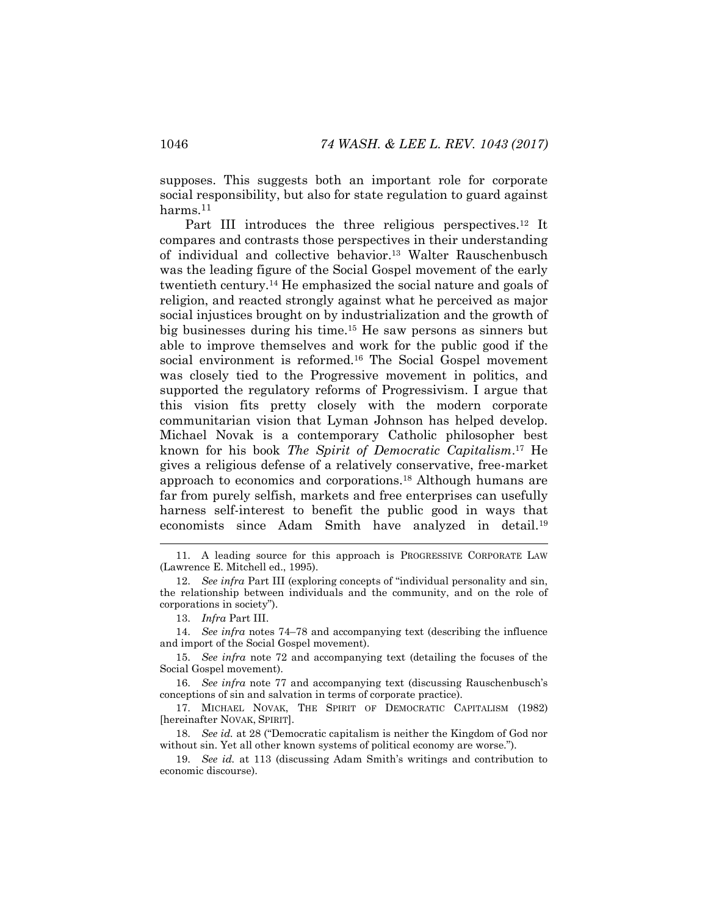supposes. This suggests both an important role for corporate social responsibility, but also for state regulation to guard against harms.<sup>11</sup>

<span id="page-4-1"></span>Part III introduces the three religious perspectives.<sup>12</sup> It compares and contrasts those perspectives in their understanding of individual and collective behavior.<sup>13</sup> Walter Rauschenbusch was the leading figure of the Social Gospel movement of the early twentieth century.<sup>14</sup> He emphasized the social nature and goals of religion, and reacted strongly against what he perceived as major social injustices brought on by industrialization and the growth of big businesses during his time.<sup>15</sup> He saw persons as sinners but able to improve themselves and work for the public good if the social environment is reformed.<sup>16</sup> The Social Gospel movement was closely tied to the Progressive movement in politics, and supported the regulatory reforms of Progressivism. I argue that this vision fits pretty closely with the modern corporate communitarian vision that Lyman Johnson has helped develop. Michael Novak is a contemporary Catholic philosopher best known for his book *The Spirit of Democratic Capitalism*. <sup>17</sup> He gives a religious defense of a relatively conservative, free-market approach to economics and corporations.<sup>18</sup> Although humans are far from purely selfish, markets and free enterprises can usefully harness self-interest to benefit the public good in ways that economists since Adam Smith have analyzed in detail.<sup>19</sup>

<span id="page-4-0"></span>

16. *See infra* note [77](#page-14-2) and accompanying text (discussing Rauschenbusch's conceptions of sin and salvation in terms of corporate practice).

17. MICHAEL NOVAK, THE SPIRIT OF DEMOCRATIC CAPITALISM (1982) [hereinafter NOVAK, SPIRIT].

18. *See id.* at 28 ("Democratic capitalism is neither the Kingdom of God nor without sin. Yet all other known systems of political economy are worse.").

19. *See id.* at 113 (discussing Adam Smith's writings and contribution to economic discourse).

<sup>11.</sup> A leading source for this approach is PROGRESSIVE CORPORATE LAW (Lawrence E. Mitchell ed., 1995).

<sup>12.</sup> *See infra* Part III (exploring concepts of "individual personality and sin, the relationship between individuals and the community, and on the role of corporations in society").

<sup>13.</sup> *Infra* Part III.

<sup>14.</sup> *See infra* notes [74](#page-14-0)–[78](#page-14-1) and accompanying text (describing the influence and import of the Social Gospel movement).

<sup>15.</sup> *See infra* note [72](#page-13-0) and accompanying text (detailing the focuses of the Social Gospel movement).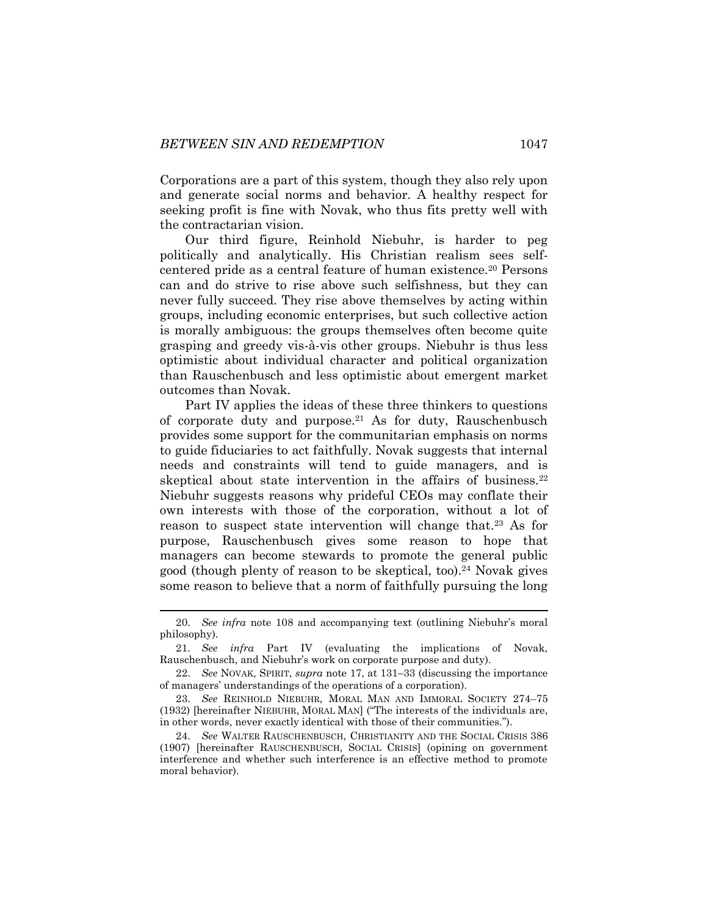Corporations are a part of this system, though they also rely upon and generate social norms and behavior. A healthy respect for seeking profit is fine with Novak, who thus fits pretty well with the contractarian vision.

Our third figure, Reinhold Niebuhr, is harder to peg politically and analytically. His Christian realism sees selfcentered pride as a central feature of human existence.<sup>20</sup> Persons can and do strive to rise above such selfishness, but they can never fully succeed. They rise above themselves by acting within groups, including economic enterprises, but such collective action is morally ambiguous: the groups themselves often become quite grasping and greedy vis-à-vis other groups. Niebuhr is thus less optimistic about individual character and political organization than Rauschenbusch and less optimistic about emergent market outcomes than Novak.

Part IV applies the ideas of these three thinkers to questions of corporate duty and purpose.<sup>21</sup> As for duty, Rauschenbusch provides some support for the communitarian emphasis on norms to guide fiduciaries to act faithfully. Novak suggests that internal needs and constraints will tend to guide managers, and is skeptical about state intervention in the affairs of business.<sup>22</sup> Niebuhr suggests reasons why prideful CEOs may conflate their own interests with those of the corporation, without a lot of reason to suspect state intervention will change that.<sup>23</sup> As for purpose, Rauschenbusch gives some reason to hope that managers can become stewards to promote the general public good (though plenty of reason to be skeptical, too).<sup>24</sup> Novak gives some reason to believe that a norm of faithfully pursuing the long

<span id="page-5-1"></span><span id="page-5-0"></span><sup>20.</sup> *See infra* note [108](#page-19-0) and accompanying text (outlining Niebuhr's moral philosophy).

<sup>21.</sup> *See infra* Part IV (evaluating the implications of Novak, Rauschenbusch, and Niebuhr's work on corporate purpose and duty).

<sup>22.</sup> *See* NOVAK, SPIRIT, *supra* note [17,](#page-4-0) at 131–33 (discussing the importance of managers' understandings of the operations of a corporation).

<sup>23.</sup> *See* REINHOLD NIEBUHR, MORAL MAN AND IMMORAL SOCIETY 274–75 (1932) [hereinafter NIEBUHR, MORAL MAN] ("The interests of the individuals are, in other words, never exactly identical with those of their communities.").

<sup>24.</sup> *See* WALTER RAUSCHENBUSCH, CHRISTIANITY AND THE SOCIAL CRISIS 386 (1907) [hereinafter RAUSCHENBUSCH, SOCIAL CRISIS] (opining on government interference and whether such interference is an effective method to promote moral behavior).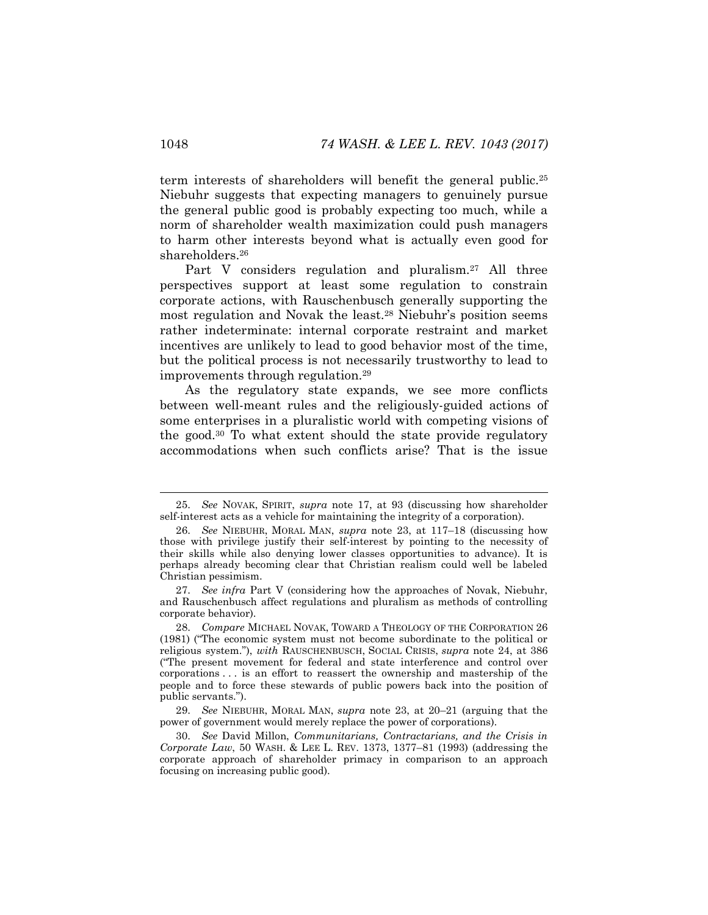term interests of shareholders will benefit the general public.<sup>25</sup> Niebuhr suggests that expecting managers to genuinely pursue the general public good is probably expecting too much, while a norm of shareholder wealth maximization could push managers to harm other interests beyond what is actually even good for shareholders.<sup>26</sup>

<span id="page-6-2"></span><span id="page-6-1"></span>Part V considers regulation and pluralism.<sup>27</sup> All three perspectives support at least some regulation to constrain corporate actions, with Rauschenbusch generally supporting the most regulation and Novak the least.<sup>28</sup> Niebuhr's position seems rather indeterminate: internal corporate restraint and market incentives are unlikely to lead to good behavior most of the time, but the political process is not necessarily trustworthy to lead to improvements through regulation.<sup>29</sup>

<span id="page-6-0"></span>As the regulatory state expands, we see more conflicts between well-meant rules and the religiously-guided actions of some enterprises in a pluralistic world with competing visions of the good.<sup>30</sup> To what extent should the state provide regulatory accommodations when such conflicts arise? That is the issue

<sup>25.</sup> *See* NOVAK, SPIRIT, *supra* note [17,](#page-4-0) at 93 (discussing how shareholder self-interest acts as a vehicle for maintaining the integrity of a corporation).

<sup>26.</sup> *See* NIEBUHR, MORAL MAN, *supra* note [23,](#page-5-0) at 117–18 (discussing how those with privilege justify their self-interest by pointing to the necessity of their skills while also denying lower classes opportunities to advance). It is perhaps already becoming clear that Christian realism could well be labeled Christian pessimism.

<sup>27.</sup> *See infra* Part V (considering how the approaches of Novak, Niebuhr, and Rauschenbusch affect regulations and pluralism as methods of controlling corporate behavior).

<sup>28.</sup> *Compare* MICHAEL NOVAK, TOWARD A THEOLOGY OF THE CORPORATION 26 (1981) ("The economic system must not become subordinate to the political or religious system."), *with* RAUSCHENBUSCH, SOCIAL CRISIS, *supra* note [24,](#page-5-1) at 386 ("The present movement for federal and state interference and control over corporations . . . is an effort to reassert the ownership and mastership of the people and to force these stewards of public powers back into the position of public servants.").

<sup>29.</sup> *See* NIEBUHR, MORAL MAN, *supra* note [23,](#page-5-0) at 20–21 (arguing that the power of government would merely replace the power of corporations).

<sup>30.</sup> *See* David Millon, *Communitarians, Contractarians, and the Crisis in Corporate Law*, 50 WASH. & LEE L. REV. 1373, 1377–81 (1993) (addressing the corporate approach of shareholder primacy in comparison to an approach focusing on increasing public good).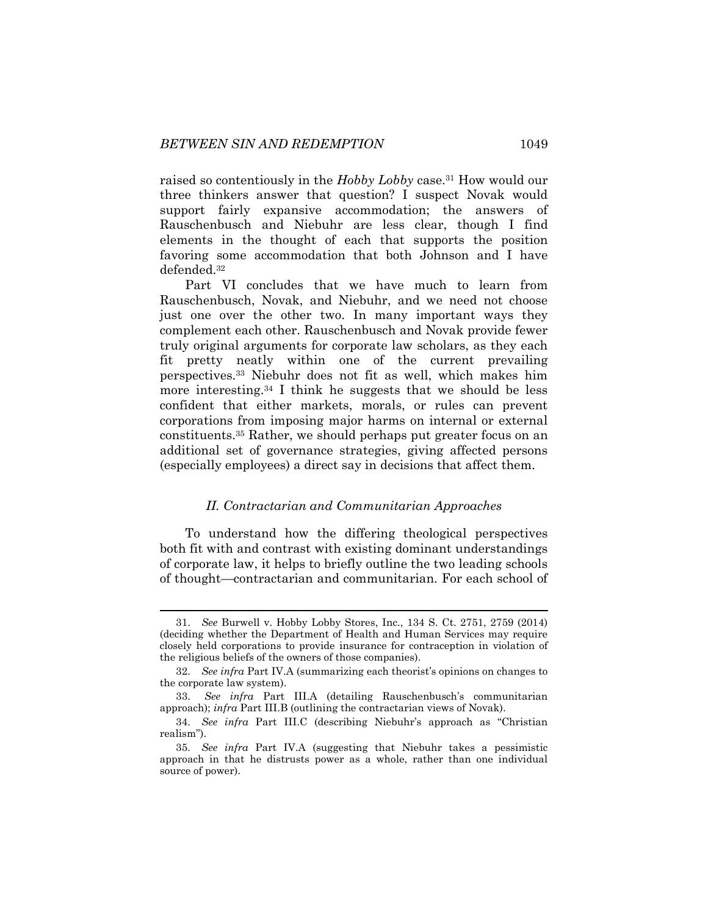raised so contentiously in the *Hobby Lobby* case.<sup>31</sup> How would our three thinkers answer that question? I suspect Novak would support fairly expansive accommodation; the answers of Rauschenbusch and Niebuhr are less clear, though I find elements in the thought of each that supports the position favoring some accommodation that both Johnson and I have defended.<sup>32</sup>

Part VI concludes that we have much to learn from Rauschenbusch, Novak, and Niebuhr, and we need not choose just one over the other two. In many important ways they complement each other. Rauschenbusch and Novak provide fewer truly original arguments for corporate law scholars, as they each fit pretty neatly within one of the current prevailing perspectives.<sup>33</sup> Niebuhr does not fit as well, which makes him more interesting.<sup>34</sup> I think he suggests that we should be less confident that either markets, morals, or rules can prevent corporations from imposing major harms on internal or external constituents.<sup>35</sup> Rather, we should perhaps put greater focus on an additional set of governance strategies, giving affected persons (especially employees) a direct say in decisions that affect them.

#### *II. Contractarian and Communitarian Approaches*

To understand how the differing theological perspectives both fit with and contrast with existing dominant understandings of corporate law, it helps to briefly outline the two leading schools of thought—contractarian and communitarian. For each school of

<sup>31.</sup> *See* Burwell v. Hobby Lobby Stores, Inc., 134 S. Ct. 2751, 2759 (2014) (deciding whether the Department of Health and Human Services may require closely held corporations to provide insurance for contraception in violation of the religious beliefs of the owners of those companies).

<sup>32.</sup> *See infra* Part IV.A (summarizing each theorist's opinions on changes to the corporate law system).

<sup>33.</sup> *See infra* Part III.A (detailing Rauschenbusch's communitarian approach); *infra* Part III.B (outlining the contractarian views of Novak).

<sup>34.</sup> *See infra* Part III.C (describing Niebuhr's approach as "Christian realism").

<sup>35.</sup> *See infra* Part IV.A (suggesting that Niebuhr takes a pessimistic approach in that he distrusts power as a whole, rather than one individual source of power).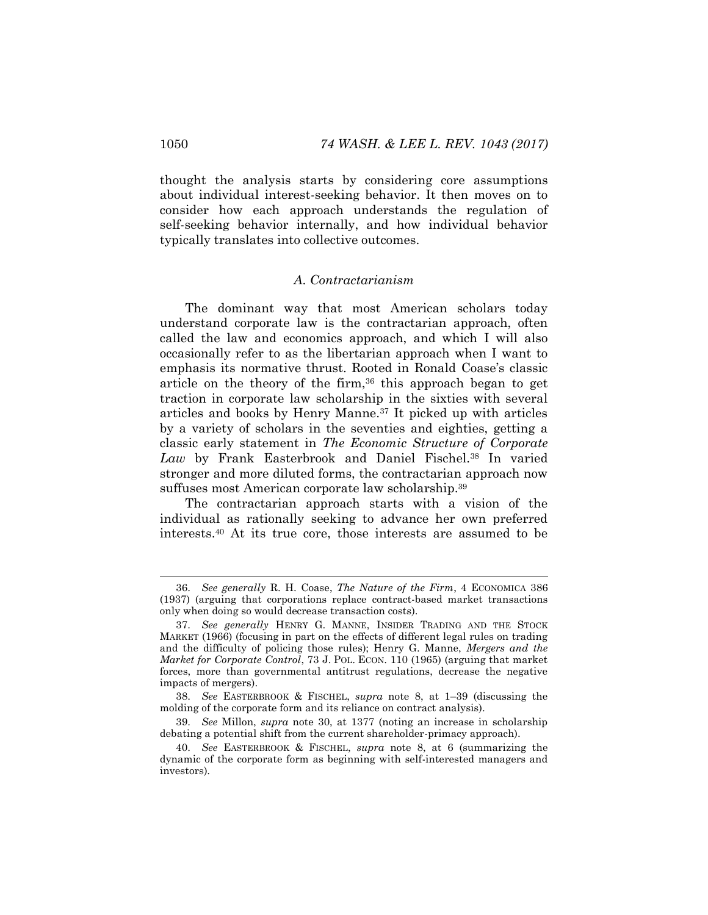thought the analysis starts by considering core assumptions about individual interest-seeking behavior. It then moves on to consider how each approach understands the regulation of self-seeking behavior internally, and how individual behavior typically translates into collective outcomes.

#### *A. Contractarianism*

The dominant way that most American scholars today understand corporate law is the contractarian approach, often called the law and economics approach, and which I will also occasionally refer to as the libertarian approach when I want to emphasis its normative thrust. Rooted in Ronald Coase's classic article on the theory of the firm,  $36$  this approach began to get traction in corporate law scholarship in the sixties with several articles and books by Henry Manne.<sup>37</sup> It picked up with articles by a variety of scholars in the seventies and eighties, getting a classic early statement in *The Economic Structure of Corporate Law* by Frank Easterbrook and Daniel Fischel.<sup>38</sup> In varied stronger and more diluted forms, the contractarian approach now suffuses most American corporate law scholarship.<sup>39</sup>

The contractarian approach starts with a vision of the individual as rationally seeking to advance her own preferred interests.<sup>40</sup> At its true core, those interests are assumed to be

<sup>36.</sup> *See generally* R. H. Coase, *The Nature of the Firm*, 4 ECONOMICA 386 (1937) (arguing that corporations replace contract-based market transactions only when doing so would decrease transaction costs).

<sup>37.</sup> *See generally* HENRY G. MANNE, INSIDER TRADING AND THE STOCK MARKET (1966) (focusing in part on the effects of different legal rules on trading and the difficulty of policing those rules); Henry G. Manne, *Mergers and the Market for Corporate Control*, 73 J. POL. ECON. 110 (1965) (arguing that market forces, more than governmental antitrust regulations, decrease the negative impacts of mergers).

<sup>38.</sup> *See* EASTERBROOK & FISCHEL, *supra* note [8,](#page-3-0) at 1–39 (discussing the molding of the corporate form and its reliance on contract analysis).

<sup>39.</sup> *See* Millon, *supra* note [30,](#page-6-0) at 1377 (noting an increase in scholarship debating a potential shift from the current shareholder-primacy approach).

<sup>40.</sup> *See* EASTERBROOK & FISCHEL, *supra* note [8,](#page-3-0) at 6 (summarizing the dynamic of the corporate form as beginning with self-interested managers and investors).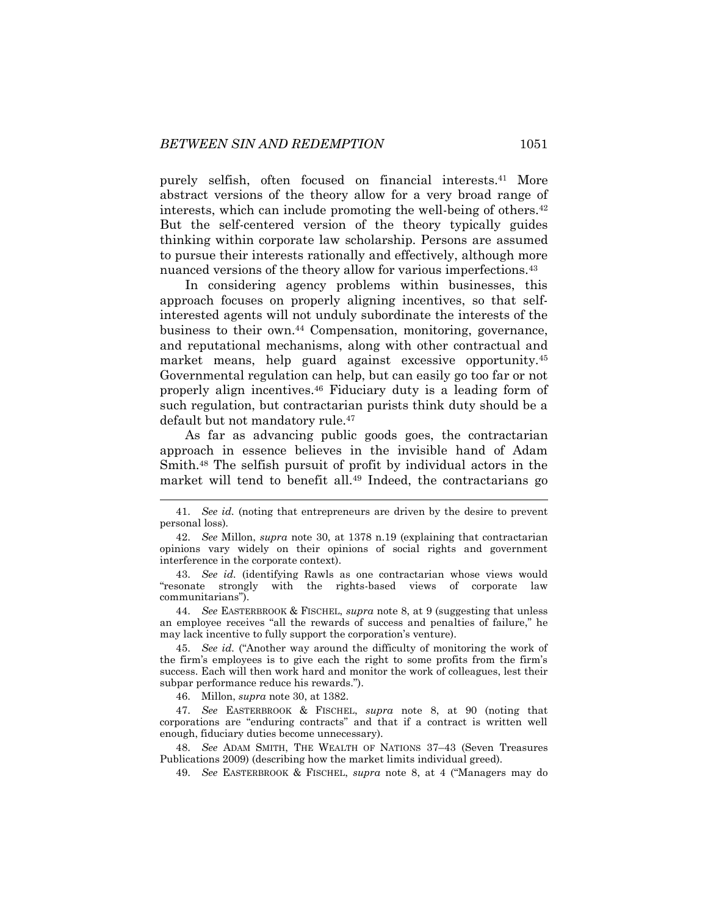purely selfish, often focused on financial interests.<sup>41</sup> More abstract versions of the theory allow for a very broad range of interests, which can include promoting the well-being of others.<sup>42</sup> But the self-centered version of the theory typically guides thinking within corporate law scholarship. Persons are assumed to pursue their interests rationally and effectively, although more nuanced versions of the theory allow for various imperfections.<sup>43</sup>

In considering agency problems within businesses, this approach focuses on properly aligning incentives, so that selfinterested agents will not unduly subordinate the interests of the business to their own.<sup>44</sup> Compensation, monitoring, governance, and reputational mechanisms, along with other contractual and market means, help guard against excessive opportunity.<sup>45</sup> Governmental regulation can help, but can easily go too far or not properly align incentives.<sup>46</sup> Fiduciary duty is a leading form of such regulation, but contractarian purists think duty should be a default but not mandatory rule.<sup>47</sup>

As far as advancing public goods goes, the contractarian approach in essence believes in the invisible hand of Adam Smith.<sup>48</sup> The selfish pursuit of profit by individual actors in the market will tend to benefit all.<sup>49</sup> Indeed, the contractarians go

44. *See* EASTERBROOK & FISCHEL, *supra* note [8,](#page-3-0) at 9 (suggesting that unless an employee receives "all the rewards of success and penalties of failure," he may lack incentive to fully support the corporation's venture).

45. *See id.* ("Another way around the difficulty of monitoring the work of the firm's employees is to give each the right to some profits from the firm's success. Each will then work hard and monitor the work of colleagues, lest their subpar performance reduce his rewards.").

46. Millon, *supra* note [30,](#page-6-0) at 1382.

l

47. *See* EASTERBROOK & FISCHEL, *supra* note [8,](#page-3-0) at 90 (noting that corporations are "enduring contracts" and that if a contract is written well enough, fiduciary duties become unnecessary).

48. *See* ADAM SMITH, THE WEALTH OF NATIONS 37–43 (Seven Treasures Publications 2009) (describing how the market limits individual greed).

49. *See* EASTERBROOK & FISCHEL, *supra* note [8](#page-3-0), at 4 ("Managers may do

<sup>41.</sup> *See id.* (noting that entrepreneurs are driven by the desire to prevent personal loss).

<sup>42.</sup> *See* Millon, *supra* note [30,](#page-6-0) at 1378 n.19 (explaining that contractarian opinions vary widely on their opinions of social rights and government interference in the corporate context).

<sup>43.</sup> *See id.* (identifying Rawls as one contractarian whose views would "resonate strongly with the rights-based views of corporate law communitarians").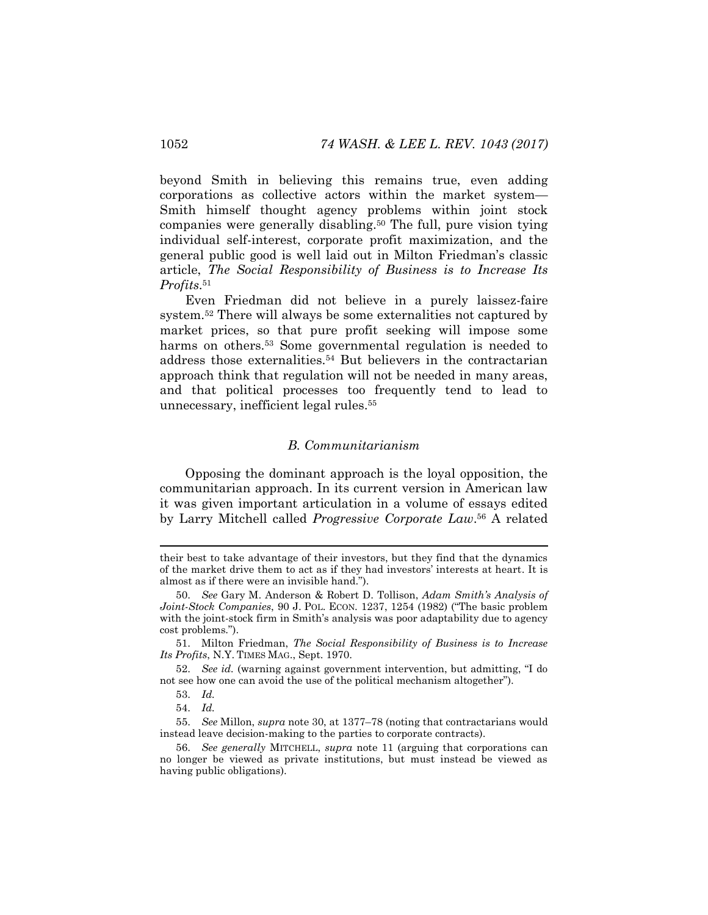beyond Smith in believing this remains true, even adding corporations as collective actors within the market system— Smith himself thought agency problems within joint stock companies were generally disabling.<sup>50</sup> The full, pure vision tying individual self-interest, corporate profit maximization, and the general public good is well laid out in Milton Friedman's classic article, *The Social Responsibility of Business is to Increase Its Profits*. 51

<span id="page-10-0"></span>Even Friedman did not believe in a purely laissez-faire system.<sup>52</sup> There will always be some externalities not captured by market prices, so that pure profit seeking will impose some harms on others.<sup>53</sup> Some governmental regulation is needed to address those externalities.<sup>54</sup> But believers in the contractarian approach think that regulation will not be needed in many areas, and that political processes too frequently tend to lead to unnecessary, inefficient legal rules.<sup>55</sup>

# *B. Communitarianism*

Opposing the dominant approach is the loyal opposition, the communitarian approach. In its current version in American law it was given important articulation in a volume of essays edited by Larry Mitchell called *Progressive Corporate Law*. <sup>56</sup> A related

their best to take advantage of their investors, but they find that the dynamics of the market drive them to act as if they had investors' interests at heart. It is almost as if there were an invisible hand.").

<sup>50.</sup> *See* Gary M. Anderson & Robert D. Tollison, *Adam Smith's Analysis of Joint-Stock Companies*, 90 J. POL. ECON. 1237, 1254 (1982) ("The basic problem with the joint-stock firm in Smith's analysis was poor adaptability due to agency cost problems.").

<sup>51.</sup> Milton Friedman, *The Social Responsibility of Business is to Increase Its Profits*, N.Y. TIMES MAG., Sept. 1970.

<sup>52.</sup> *See id.* (warning against government intervention, but admitting, "I do not see how one can avoid the use of the political mechanism altogether").

<sup>53.</sup> *Id.*

<sup>54.</sup> *Id.*

<sup>55.</sup> *See* Millon, *supra* not[e 30,](#page-6-0) at 1377–78 (noting that contractarians would instead leave decision-making to the parties to corporate contracts).

<sup>56.</sup> *See generally* MITCHELL, *supra* note [11](#page-4-1) (arguing that corporations can no longer be viewed as private institutions, but must instead be viewed as having public obligations).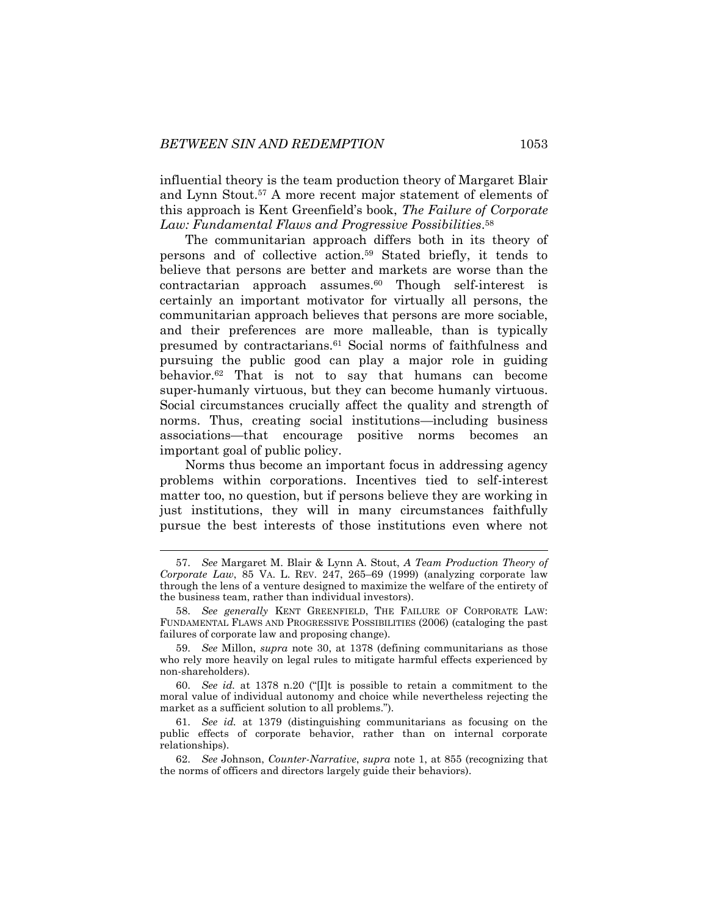<span id="page-11-0"></span>influential theory is the team production theory of Margaret Blair and Lynn Stout.<sup>57</sup> A more recent major statement of elements of this approach is Kent Greenfield's book, *The Failure of Corporate Law: Fundamental Flaws and Progressive Possibilities*. 58

<span id="page-11-2"></span><span id="page-11-1"></span>The communitarian approach differs both in its theory of persons and of collective action.<sup>59</sup> Stated briefly, it tends to believe that persons are better and markets are worse than the  $contractarian$  approach assumes. $60$  Though self-interest is certainly an important motivator for virtually all persons, the communitarian approach believes that persons are more sociable, and their preferences are more malleable, than is typically presumed by contractarians.<sup>61</sup> Social norms of faithfulness and pursuing the public good can play a major role in guiding behavior.<sup>62</sup> That is not to say that humans can become super-humanly virtuous, but they can become humanly virtuous. Social circumstances crucially affect the quality and strength of norms. Thus, creating social institutions—including business associations—that encourage positive norms becomes an important goal of public policy.

Norms thus become an important focus in addressing agency problems within corporations. Incentives tied to self-interest matter too, no question, but if persons believe they are working in just institutions, they will in many circumstances faithfully pursue the best interests of those institutions even where not

<sup>57.</sup> *See* Margaret M. Blair & Lynn A. Stout, *A Team Production Theory of Corporate Law*, 85 VA. L. REV. 247, 265–69 (1999) (analyzing corporate law through the lens of a venture designed to maximize the welfare of the entirety of the business team, rather than individual investors).

<sup>58.</sup> *See generally* KENT GREENFIELD, THE FAILURE OF CORPORATE LAW: FUNDAMENTAL FLAWS AND PROGRESSIVE POSSIBILITIES (2006) (cataloging the past failures of corporate law and proposing change).

<sup>59.</sup> *See* Millon, *supra* note [30,](#page-6-0) at 1378 (defining communitarians as those who rely more heavily on legal rules to mitigate harmful effects experienced by non-shareholders).

<sup>60.</sup> *See id.* at 1378 n.20 ("[I]t is possible to retain a commitment to the moral value of individual autonomy and choice while nevertheless rejecting the market as a sufficient solution to all problems.").

<sup>61.</sup> *See id.* at 1379 (distinguishing communitarians as focusing on the public effects of corporate behavior, rather than on internal corporate relationships).

<sup>62.</sup> *See* Johnson, *Counter-Narrative*, *supra* note [1,](#page-1-0) at 855 (recognizing that the norms of officers and directors largely guide their behaviors).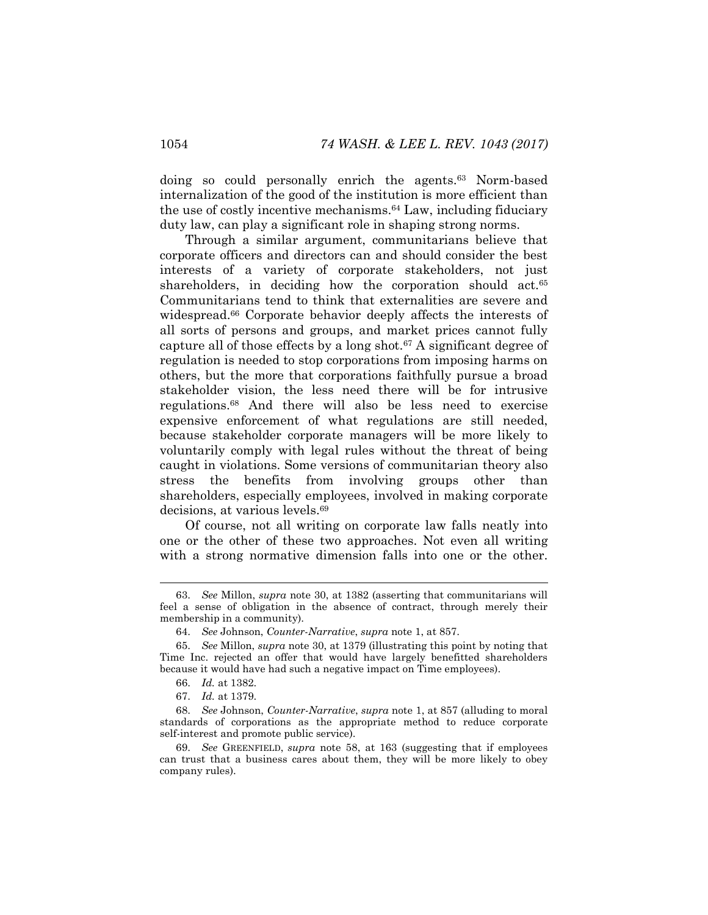doing so could personally enrich the agents.<sup>63</sup> Norm-based internalization of the good of the institution is more efficient than the use of costly incentive mechanisms.<sup>64</sup> Law, including fiduciary duty law, can play a significant role in shaping strong norms.

Through a similar argument, communitarians believe that corporate officers and directors can and should consider the best interests of a variety of corporate stakeholders, not just shareholders, in deciding how the corporation should act.<sup>65</sup> Communitarians tend to think that externalities are severe and widespread.<sup>66</sup> Corporate behavior deeply affects the interests of all sorts of persons and groups, and market prices cannot fully capture all of those effects by a long shot.<sup>67</sup> A significant degree of regulation is needed to stop corporations from imposing harms on others, but the more that corporations faithfully pursue a broad stakeholder vision, the less need there will be for intrusive regulations.<sup>68</sup> And there will also be less need to exercise expensive enforcement of what regulations are still needed, because stakeholder corporate managers will be more likely to voluntarily comply with legal rules without the threat of being caught in violations. Some versions of communitarian theory also stress the benefits from involving groups other than shareholders, especially employees, involved in making corporate decisions, at various levels.<sup>69</sup>

Of course, not all writing on corporate law falls neatly into one or the other of these two approaches. Not even all writing with a strong normative dimension falls into one or the other.

<sup>63.</sup> *See* Millon, *supra* note [30,](#page-6-0) at 1382 (asserting that communitarians will feel a sense of obligation in the absence of contract, through merely their membership in a community).

<sup>64.</sup> *See* Johnson, *Counter-Narrative*, *supra* note [1,](#page-1-0) at 857.

<sup>65.</sup> *See* Millon, *supra* note [30,](#page-6-0) at 1379 (illustrating this point by noting that Time Inc. rejected an offer that would have largely benefitted shareholders because it would have had such a negative impact on Time employees).

<sup>66.</sup> *Id.* at 1382.

<sup>67.</sup> *Id.* at 1379.

<sup>68.</sup> *See* Johnson, *Counter-Narrative*, *supra* not[e 1,](#page-1-0) at 857 (alluding to moral standards of corporations as the appropriate method to reduce corporate self-interest and promote public service).

<sup>69.</sup> *See* GREENFIELD, *supra* note [58,](#page-11-2) at 163 (suggesting that if employees can trust that a business cares about them, they will be more likely to obey company rules).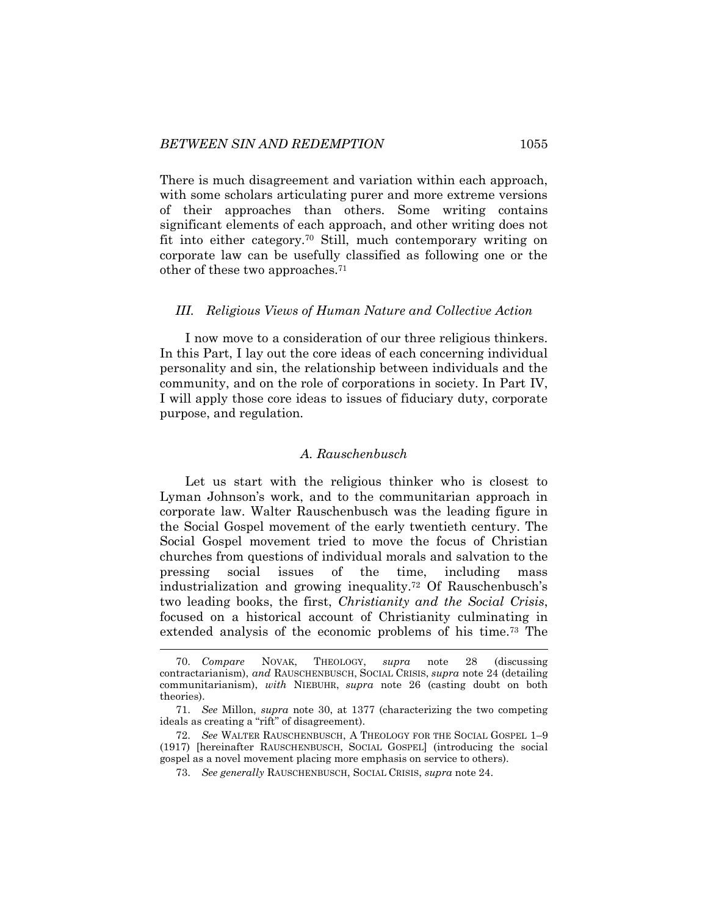There is much disagreement and variation within each approach, with some scholars articulating purer and more extreme versions of their approaches than others. Some writing contains significant elements of each approach, and other writing does not fit into either category.<sup>70</sup> Still, much contemporary writing on corporate law can be usefully classified as following one or the other of these two approaches.<sup>71</sup>

#### *III. Religious Views of Human Nature and Collective Action*

I now move to a consideration of our three religious thinkers. In this Part, I lay out the core ideas of each concerning individual personality and sin, the relationship between individuals and the community, and on the role of corporations in society. In Part IV, I will apply those core ideas to issues of fiduciary duty, corporate purpose, and regulation.

#### <span id="page-13-0"></span>*A. Rauschenbusch*

Let us start with the religious thinker who is closest to Lyman Johnson's work, and to the communitarian approach in corporate law. Walter Rauschenbusch was the leading figure in the Social Gospel movement of the early twentieth century. The Social Gospel movement tried to move the focus of Christian churches from questions of individual morals and salvation to the pressing social issues of the time, including mass industrialization and growing inequality.<sup>72</sup> Of Rauschenbusch's two leading books, the first, *Christianity and the Social Crisis*, focused on a historical account of Christianity culminating in extended analysis of the economic problems of his time.<sup>73</sup> The

<sup>70.</sup> *Compare* NOVAK, THEOLOGY, *supra* note [28](#page-6-1) (discussing contractarianism), *and* RAUSCHENBUSCH, SOCIAL CRISIS, *supra* note [24](#page-5-1) (detailing communitarianism), *with* NIEBUHR, *supra* note [26](#page-6-2) (casting doubt on both theories).

<sup>71.</sup> *See* Millon, *supra* note [30,](#page-6-0) at 1377 (characterizing the two competing ideals as creating a "rift" of disagreement).

<sup>72.</sup> *See* WALTER RAUSCHENBUSCH, A THEOLOGY FOR THE SOCIAL GOSPEL 1–9 (1917) [hereinafter RAUSCHENBUSCH, SOCIAL GOSPEL] (introducing the social gospel as a novel movement placing more emphasis on service to others).

<sup>73.</sup> *See generally* RAUSCHENBUSCH, SOCIAL CRISIS, *supra* note [24.](#page-5-1)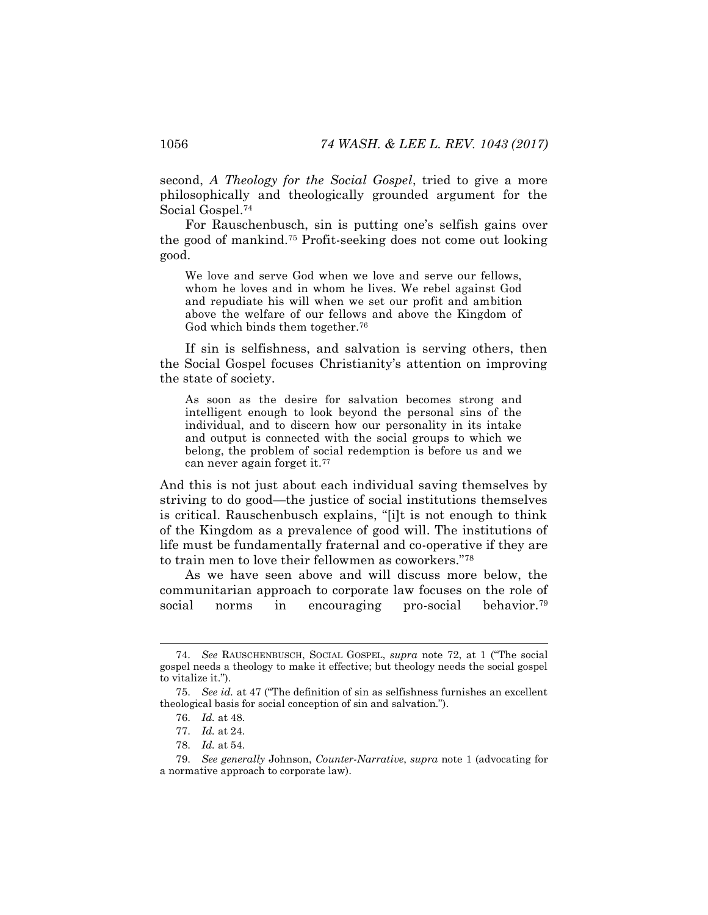second, *A Theology for the Social Gospel*, tried to give a more philosophically and theologically grounded argument for the Social Gospel.<sup>74</sup>

<span id="page-14-0"></span>For Rauschenbusch, sin is putting one's selfish gains over the good of mankind.<sup>75</sup> Profit-seeking does not come out looking good.

We love and serve God when we love and serve our fellows, whom he loves and in whom he lives. We rebel against God and repudiate his will when we set our profit and ambition above the welfare of our fellows and above the Kingdom of God which binds them together.<sup>76</sup>

If sin is selfishness, and salvation is serving others, then the Social Gospel focuses Christianity's attention on improving the state of society.

<span id="page-14-2"></span>As soon as the desire for salvation becomes strong and intelligent enough to look beyond the personal sins of the individual, and to discern how our personality in its intake and output is connected with the social groups to which we belong, the problem of social redemption is before us and we can never again forget it.<sup>77</sup>

And this is not just about each individual saving themselves by striving to do good—the justice of social institutions themselves is critical. Rauschenbusch explains, "[i]t is not enough to think of the Kingdom as a prevalence of good will. The institutions of life must be fundamentally fraternal and co-operative if they are to train men to love their fellowmen as coworkers."<sup>78</sup>

<span id="page-14-1"></span>As we have seen above and will discuss more below, the communitarian approach to corporate law focuses on the role of social norms in encouraging pro-social behavior.<sup>79</sup>

<sup>74.</sup> *See* RAUSCHENBUSCH, SOCIAL GOSPEL, *supra* note [72](#page-13-0), at 1 ("The social gospel needs a theology to make it effective; but theology needs the social gospel to vitalize it.").

<sup>75.</sup> *See id.* at 47 ("The definition of sin as selfishness furnishes an excellent theological basis for social conception of sin and salvation.").

<sup>76.</sup> *Id.* at 48.

<sup>77.</sup> *Id.* at 24.

<sup>78.</sup> *Id.* at 54.

<sup>79.</sup> *See generally* Johnson, *Counter-Narrative*, *supra* note [1](#page-1-0) (advocating for a normative approach to corporate law).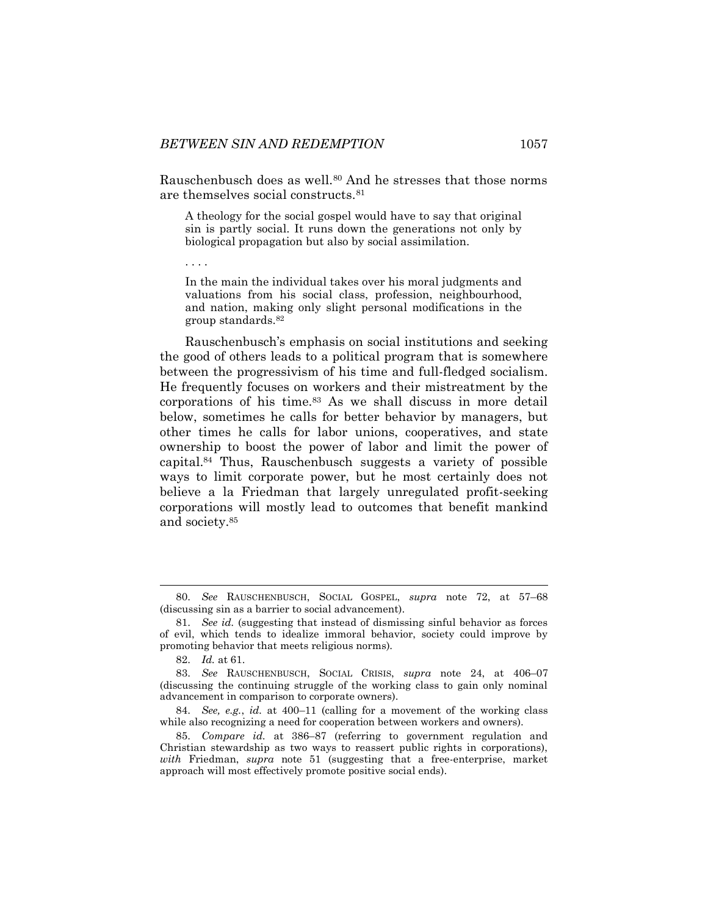Rauschenbusch does as well.<sup>80</sup> And he stresses that those norms are themselves social constructs.<sup>81</sup>

A theology for the social gospel would have to say that original sin is partly social. It runs down the generations not only by biological propagation but also by social assimilation.

In the main the individual takes over his moral judgments and valuations from his social class, profession, neighbourhood, and nation, making only slight personal modifications in the group standards.<sup>82</sup>

Rauschenbusch's emphasis on social institutions and seeking the good of others leads to a political program that is somewhere between the progressivism of his time and full-fledged socialism. He frequently focuses on workers and their mistreatment by the corporations of his time.<sup>83</sup> As we shall discuss in more detail below, sometimes he calls for better behavior by managers, but other times he calls for labor unions, cooperatives, and state ownership to boost the power of labor and limit the power of capital.<sup>84</sup> Thus, Rauschenbusch suggests a variety of possible ways to limit corporate power, but he most certainly does not believe a la Friedman that largely unregulated profit-seeking corporations will mostly lead to outcomes that benefit mankind and society.<sup>85</sup>

82. *Id.* at 61.

. . . .

<sup>80.</sup> *See* RAUSCHENBUSCH, SOCIAL GOSPEL, *supra* note [72,](#page-13-0) at 57–68 (discussing sin as a barrier to social advancement).

<sup>81.</sup> *See id.* (suggesting that instead of dismissing sinful behavior as forces of evil, which tends to idealize immoral behavior, society could improve by promoting behavior that meets religious norms).

<sup>83.</sup> *See* RAUSCHENBUSCH, SOCIAL CRISIS, *supra* note [24,](#page-5-1) at 406–07 (discussing the continuing struggle of the working class to gain only nominal advancement in comparison to corporate owners).

<sup>84.</sup> *See, e.g.*, *id.* at 400–11 (calling for a movement of the working class while also recognizing a need for cooperation between workers and owners).

<sup>85.</sup> *Compare id.* at 386–87 (referring to government regulation and Christian stewardship as two ways to reassert public rights in corporations), *with* Friedman, *supra* note [51](#page-10-0) (suggesting that a free-enterprise, market approach will most effectively promote positive social ends).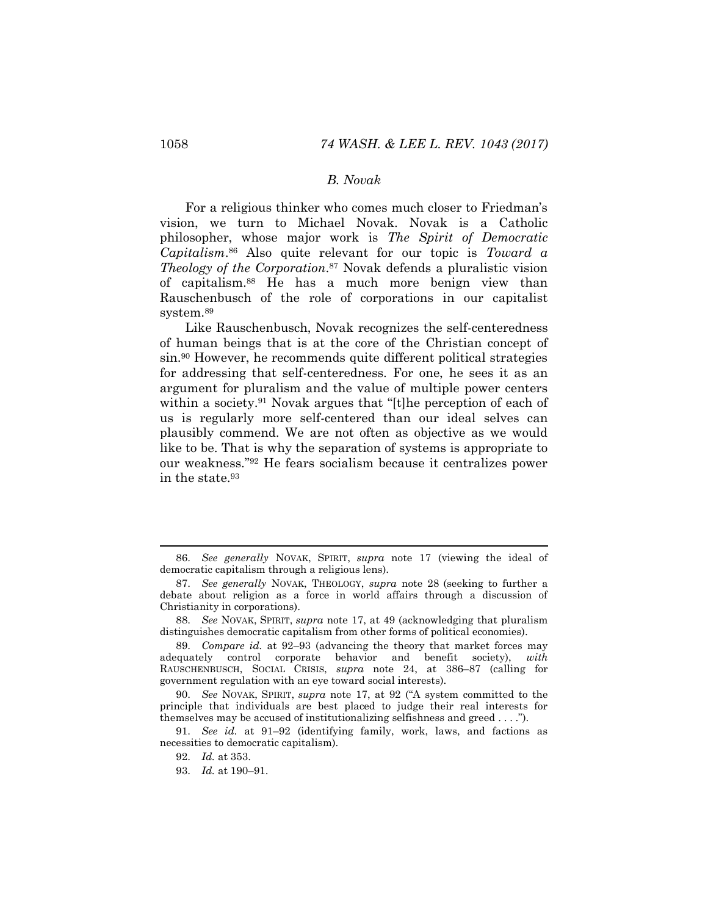# *B. Novak*

For a religious thinker who comes much closer to Friedman's vision, we turn to Michael Novak. Novak is a Catholic philosopher, whose major work is *The Spirit of Democratic Capitalism*. <sup>86</sup> Also quite relevant for our topic is *Toward a Theology of the Corporation*. <sup>87</sup> Novak defends a pluralistic vision of capitalism.<sup>88</sup> He has a much more benign view than Rauschenbusch of the role of corporations in our capitalist system.<sup>89</sup>

Like Rauschenbusch, Novak recognizes the self-centeredness of human beings that is at the core of the Christian concept of sin.<sup>90</sup> However, he recommends quite different political strategies for addressing that self-centeredness. For one, he sees it as an argument for pluralism and the value of multiple power centers within a society.<sup>91</sup> Novak argues that "[t]he perception of each of us is regularly more self-centered than our ideal selves can plausibly commend. We are not often as objective as we would like to be. That is why the separation of systems is appropriate to our weakness."<sup>92</sup> He fears socialism because it centralizes power in the state.<sup>93</sup>

<sup>86.</sup> *See generally* NOVAK, SPIRIT, *supra* note [17](#page-4-0) (viewing the ideal of democratic capitalism through a religious lens).

<sup>87.</sup> *See generally* NOVAK, THEOLOGY, *supra* note [28](#page-6-1) (seeking to further a debate about religion as a force in world affairs through a discussion of Christianity in corporations).

<sup>88.</sup> *See* NOVAK, SPIRIT, *supra* note [17,](#page-4-0) at 49 (acknowledging that pluralism distinguishes democratic capitalism from other forms of political economies).

<sup>89.</sup> *Compare id.* at 92–93 (advancing the theory that market forces may adequately control corporate behavior and benefit society), *with*  RAUSCHENBUSCH, SOCIAL CRISIS, *supra* note [24,](#page-5-1) at 386–87 (calling for government regulation with an eye toward social interests).

<sup>90.</sup> *See* NOVAK, SPIRIT, *supra* note [17](#page-4-0), at 92 ("A system committed to the principle that individuals are best placed to judge their real interests for themselves may be accused of institutionalizing selfishness and greed . . . .").

<sup>91.</sup> *See id.* at 91–92 (identifying family, work, laws, and factions as necessities to democratic capitalism).

<sup>92.</sup> *Id.* at 353.

<sup>93.</sup> *Id.* at 190–91.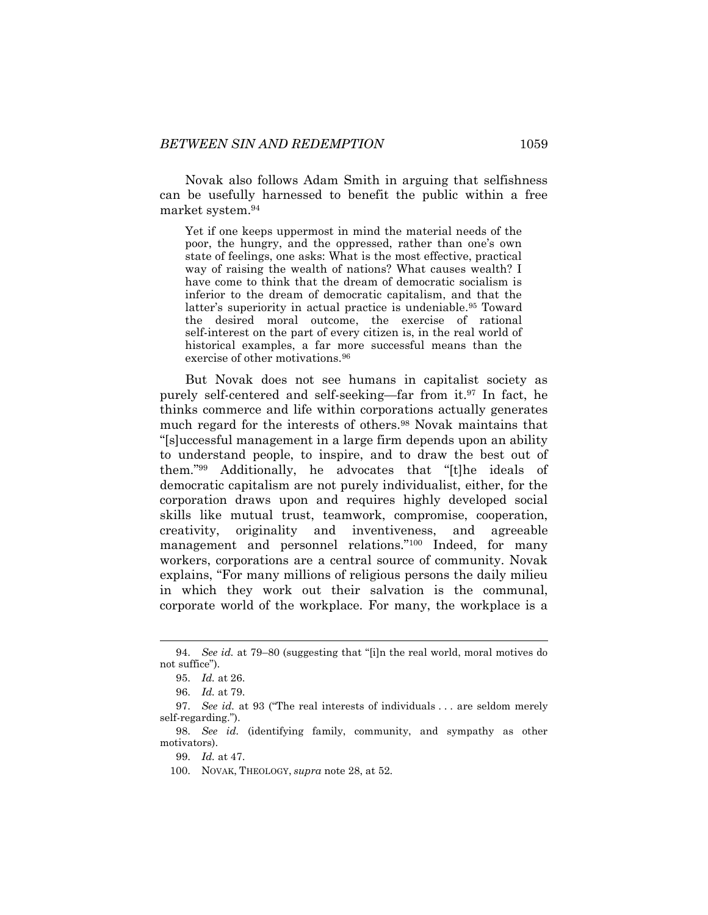Novak also follows Adam Smith in arguing that selfishness can be usefully harnessed to benefit the public within a free market system.<sup>94</sup>

Yet if one keeps uppermost in mind the material needs of the poor, the hungry, and the oppressed, rather than one's own state of feelings, one asks: What is the most effective, practical way of raising the wealth of nations? What causes wealth? I have come to think that the dream of democratic socialism is inferior to the dream of democratic capitalism, and that the latter's superiority in actual practice is undeniable.<sup>95</sup> Toward the desired moral outcome, the exercise of rational self-interest on the part of every citizen is, in the real world of historical examples, a far more successful means than the exercise of other motivations.<sup>96</sup>

But Novak does not see humans in capitalist society as purely self-centered and self-seeking—far from it.<sup>97</sup> In fact, he thinks commerce and life within corporations actually generates much regard for the interests of others.<sup>98</sup> Novak maintains that "[s]uccessful management in a large firm depends upon an ability to understand people, to inspire, and to draw the best out of them."<sup>99</sup> Additionally, he advocates that "[t]he ideals of democratic capitalism are not purely individualist, either, for the corporation draws upon and requires highly developed social skills like mutual trust, teamwork, compromise, cooperation, creativity, originality and inventiveness, and agreeable management and personnel relations."<sup>100</sup> Indeed, for many workers, corporations are a central source of community. Novak explains, "For many millions of religious persons the daily milieu in which they work out their salvation is the communal, corporate world of the workplace. For many, the workplace is a

<sup>94.</sup> *See id.* at 79–80 (suggesting that "[i]n the real world, moral motives do not suffice").

<sup>95.</sup> *Id.* at 26.

<sup>96.</sup> *Id.* at 79.

<sup>97.</sup> *See id.* at 93 ("The real interests of individuals . . . are seldom merely self-regarding.").

<sup>98.</sup> *See id.* (identifying family, community, and sympathy as other motivators).

<sup>99.</sup> *Id.* at 47.

<sup>100.</sup> NOVAK, THEOLOGY, *supra* note [28,](#page-6-1) at 52.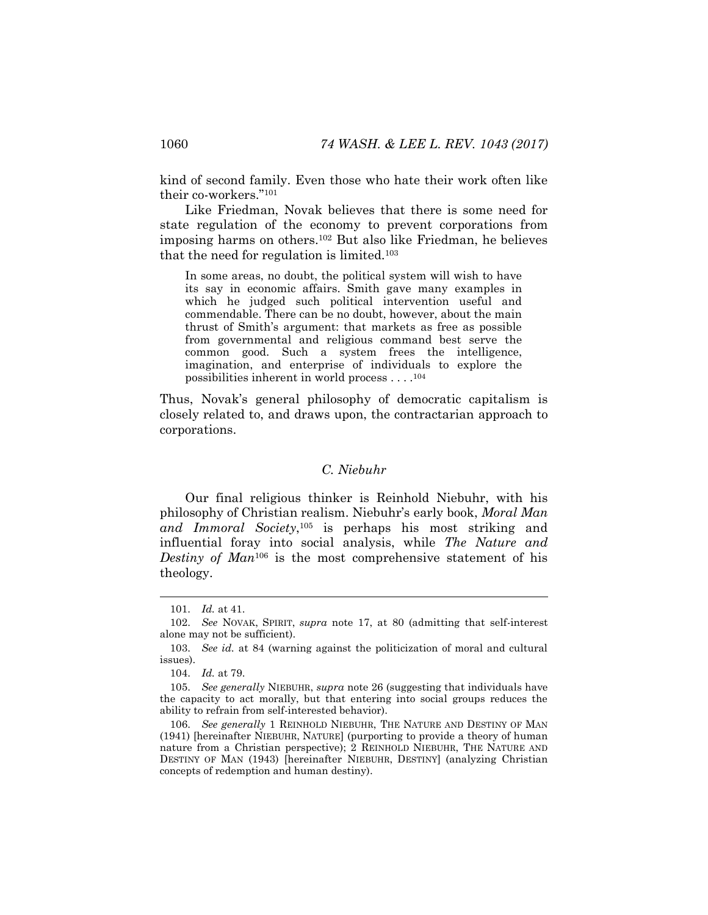kind of second family. Even those who hate their work often like their co-workers."<sup>101</sup>

Like Friedman, Novak believes that there is some need for state regulation of the economy to prevent corporations from imposing harms on others.<sup>102</sup> But also like Friedman, he believes that the need for regulation is limited.<sup>103</sup>

In some areas, no doubt, the political system will wish to have its say in economic affairs. Smith gave many examples in which he judged such political intervention useful and commendable. There can be no doubt, however, about the main thrust of Smith's argument: that markets as free as possible from governmental and religious command best serve the common good. Such a system frees the intelligence, imagination, and enterprise of individuals to explore the possibilities inherent in world process . . . . 104

Thus, Novak's general philosophy of democratic capitalism is closely related to, and draws upon, the contractarian approach to corporations.

# *C. Niebuhr*

Our final religious thinker is Reinhold Niebuhr, with his philosophy of Christian realism. Niebuhr's early book, *Moral Man and Immoral Society*, <sup>105</sup> is perhaps his most striking and influential foray into social analysis, while *The Nature and Destiny of Man*<sup>106</sup> is the most comprehensive statement of his theology.

<span id="page-18-0"></span><sup>101.</sup> *Id.* at 41.

<sup>102.</sup> *See* NOVAK, SPIRIT, *supra* note [17,](#page-4-0) at 80 (admitting that self-interest alone may not be sufficient).

<sup>103.</sup> *See id.* at 84 (warning against the politicization of moral and cultural issues).

<sup>104.</sup> *Id.* at 79.

<sup>105.</sup> *See generally* NIEBUHR, *supra* note [26](#page-6-2) (suggesting that individuals have the capacity to act morally, but that entering into social groups reduces the ability to refrain from self-interested behavior).

<sup>106.</sup> *See generally* 1 REINHOLD NIEBUHR, THE NATURE AND DESTINY OF MAN (1941) [hereinafter NIEBUHR, NATURE] (purporting to provide a theory of human nature from a Christian perspective); 2 REINHOLD NIEBUHR, THE NATURE AND DESTINY OF MAN (1943) [hereinafter NIEBUHR, DESTINY] (analyzing Christian concepts of redemption and human destiny).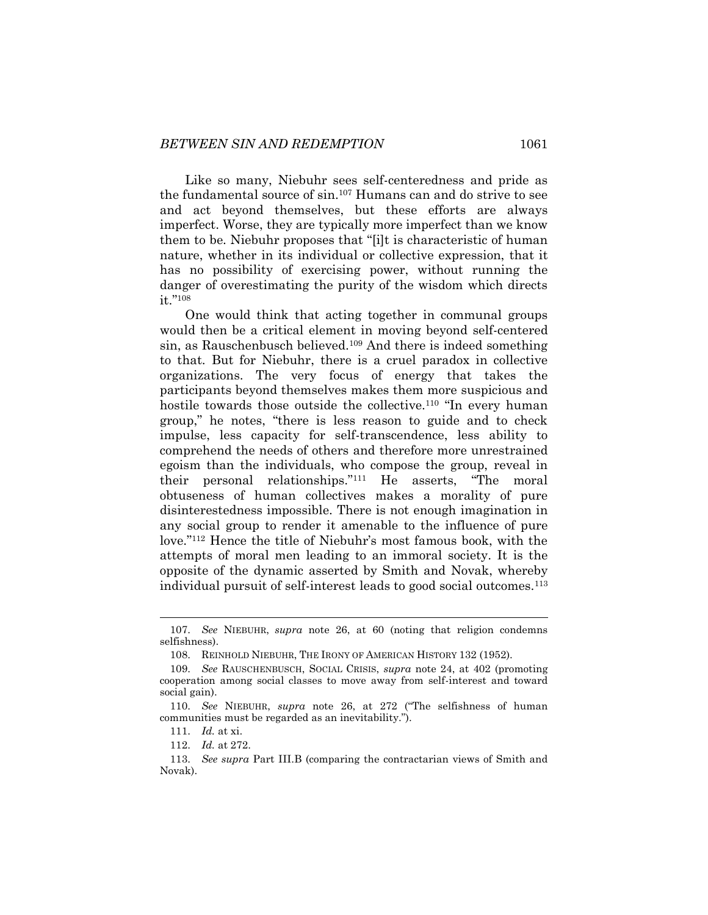Like so many, Niebuhr sees self-centeredness and pride as the fundamental source of sin.<sup>107</sup> Humans can and do strive to see and act beyond themselves, but these efforts are always imperfect. Worse, they are typically more imperfect than we know them to be. Niebuhr proposes that "[i]t is characteristic of human nature, whether in its individual or collective expression, that it has no possibility of exercising power, without running the danger of overestimating the purity of the wisdom which directs it."<sup>108</sup>

<span id="page-19-0"></span>One would think that acting together in communal groups would then be a critical element in moving beyond self-centered sin, as Rauschenbusch believed.<sup>109</sup> And there is indeed something to that. But for Niebuhr, there is a cruel paradox in collective organizations. The very focus of energy that takes the participants beyond themselves makes them more suspicious and hostile towards those outside the collective.<sup>110</sup> "In every human group," he notes, "there is less reason to guide and to check impulse, less capacity for self-transcendence, less ability to comprehend the needs of others and therefore more unrestrained egoism than the individuals, who compose the group, reveal in their personal relationships."<sup>111</sup> He asserts, "The moral obtuseness of human collectives makes a morality of pure disinterestedness impossible. There is not enough imagination in any social group to render it amenable to the influence of pure love."<sup>112</sup> Hence the title of Niebuhr's most famous book, with the attempts of moral men leading to an immoral society. It is the opposite of the dynamic asserted by Smith and Novak, whereby individual pursuit of self-interest leads to good social outcomes.<sup>113</sup>

<sup>107.</sup> *See* NIEBUHR, *supra* note [26,](#page-6-2) at 60 (noting that religion condemns selfishness).

<sup>108.</sup> REINHOLD NIEBUHR, THE IRONY OF AMERICAN HISTORY 132 (1952).

<sup>109.</sup> *See* RAUSCHENBUSCH, SOCIAL CRISIS, *supra* note [24,](#page-5-1) at 402 (promoting cooperation among social classes to move away from self-interest and toward social gain).

<sup>110.</sup> *See* NIEBUHR, *supra* note [26](#page-6-2), at 272 ("The selfishness of human communities must be regarded as an inevitability.").

<sup>111.</sup> *Id.* at xi.

<sup>112.</sup> *Id.* at 272.

<sup>113.</sup> *See supra* Part III.B (comparing the contractarian views of Smith and Novak).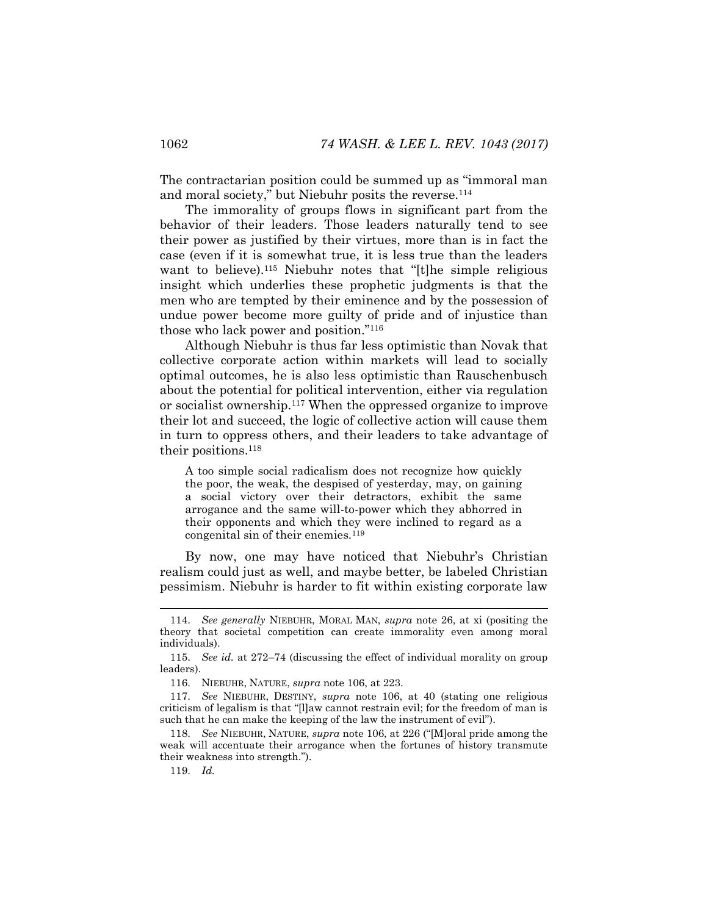The contractarian position could be summed up as "immoral man and moral society," but Niebuhr posits the reverse.<sup>114</sup>

The immorality of groups flows in significant part from the behavior of their leaders. Those leaders naturally tend to see their power as justified by their virtues, more than is in fact the case (even if it is somewhat true, it is less true than the leaders want to believe).<sup>115</sup> Niebuhr notes that "[t]he simple religious insight which underlies these prophetic judgments is that the men who are tempted by their eminence and by the possession of undue power become more guilty of pride and of injustice than those who lack power and position."<sup>116</sup>

Although Niebuhr is thus far less optimistic than Novak that collective corporate action within markets will lead to socially optimal outcomes, he is also less optimistic than Rauschenbusch about the potential for political intervention, either via regulation or socialist ownership.<sup>117</sup> When the oppressed organize to improve their lot and succeed, the logic of collective action will cause them in turn to oppress others, and their leaders to take advantage of their positions.<sup>118</sup>

A too simple social radicalism does not recognize how quickly the poor, the weak, the despised of yesterday, may, on gaining a social victory over their detractors, exhibit the same arrogance and the same will-to-power which they abhorred in their opponents and which they were inclined to regard as a congenital sin of their enemies.<sup>119</sup>

By now, one may have noticed that Niebuhr's Christian realism could just as well, and maybe better, be labeled Christian pessimism. Niebuhr is harder to fit within existing corporate law

<sup>114.</sup> *See generally* NIEBUHR, MORAL MAN, *supra* note [26,](#page-6-2) at xi (positing the theory that societal competition can create immorality even among moral individuals).

<sup>115.</sup> *See id.* at 272–74 (discussing the effect of individual morality on group leaders).

<sup>116.</sup> NIEBUHR, NATURE, *supra* note [106,](#page-18-0) at 223.

<sup>117.</sup> *See* NIEBUHR, DESTINY, *supra* note [106,](#page-18-0) at 40 (stating one religious criticism of legalism is that "[l]aw cannot restrain evil; for the freedom of man is such that he can make the keeping of the law the instrument of evil").

<sup>118.</sup> *See* NIEBUHR, NATURE, *supra* note [106](#page-18-0), at 226 ("[M]oral pride among the weak will accentuate their arrogance when the fortunes of history transmute their weakness into strength.").

<sup>119.</sup> *Id.*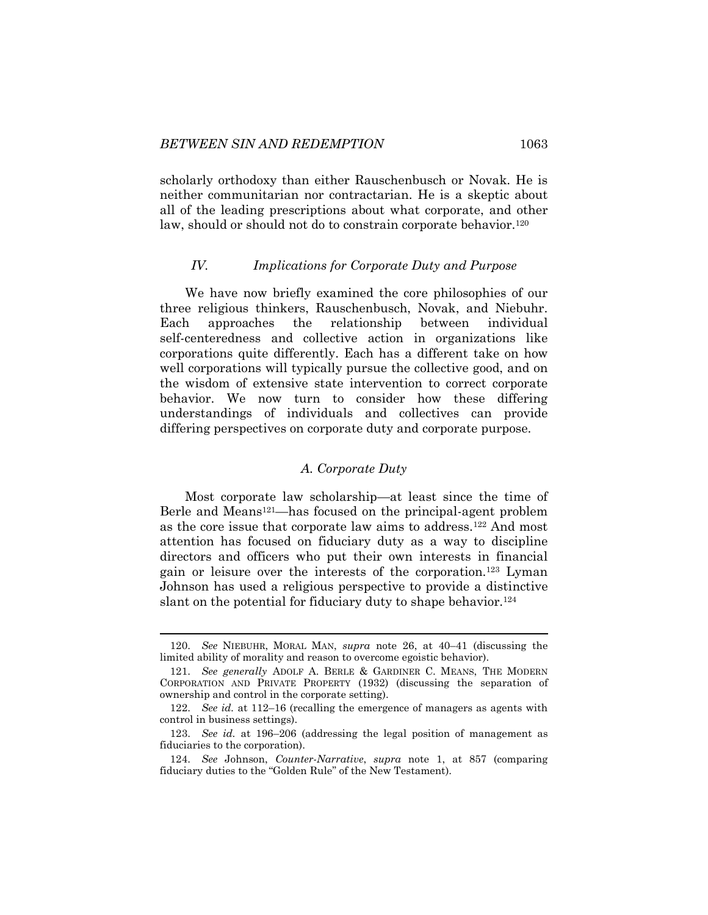scholarly orthodoxy than either Rauschenbusch or Novak. He is neither communitarian nor contractarian. He is a skeptic about all of the leading prescriptions about what corporate, and other law, should or should not do to constrain corporate behavior.<sup>120</sup>

### *IV. Implications for Corporate Duty and Purpose*

We have now briefly examined the core philosophies of our three religious thinkers, Rauschenbusch, Novak, and Niebuhr. Each approaches the relationship between individual self-centeredness and collective action in organizations like corporations quite differently. Each has a different take on how well corporations will typically pursue the collective good, and on the wisdom of extensive state intervention to correct corporate behavior. We now turn to consider how these differing understandings of individuals and collectives can provide differing perspectives on corporate duty and corporate purpose.

#### *A. Corporate Duty*

Most corporate law scholarship—at least since the time of Berle and Means<sup>121</sup>—has focused on the principal-agent problem as the core issue that corporate law aims to address.<sup>122</sup> And most attention has focused on fiduciary duty as a way to discipline directors and officers who put their own interests in financial gain or leisure over the interests of the corporation.<sup>123</sup> Lyman Johnson has used a religious perspective to provide a distinctive slant on the potential for fiduciary duty to shape behavior.<sup>124</sup>

<sup>120.</sup> *See* NIEBUHR, MORAL MAN, *supra* note [26,](#page-6-2) at 40–41 (discussing the limited ability of morality and reason to overcome egoistic behavior).

<sup>121.</sup> *See generally* ADOLF A. BERLE & GARDINER C. MEANS, THE MODERN CORPORATION AND PRIVATE PROPERTY (1932) (discussing the separation of ownership and control in the corporate setting).

<sup>122.</sup> *See id.* at 112–16 (recalling the emergence of managers as agents with control in business settings).

<sup>123.</sup> *See id.* at 196–206 (addressing the legal position of management as fiduciaries to the corporation).

<sup>124.</sup> *See* Johnson, *Counter-Narrative*, *supra* note [1,](#page-1-0) at 857 (comparing fiduciary duties to the "Golden Rule" of the New Testament).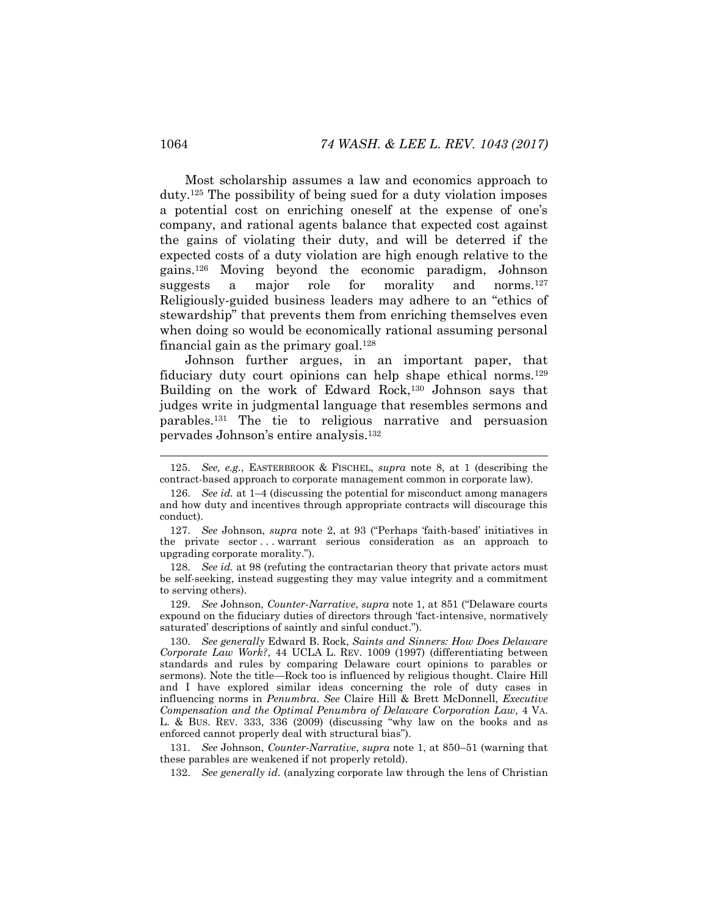Most scholarship assumes a law and economics approach to duty.<sup>125</sup> The possibility of being sued for a duty violation imposes a potential cost on enriching oneself at the expense of one's company, and rational agents balance that expected cost against the gains of violating their duty, and will be deterred if the expected costs of a duty violation are high enough relative to the gains.<sup>126</sup> Moving beyond the economic paradigm, Johnson suggests a major role for morality and norms.<sup>127</sup> Religiously-guided business leaders may adhere to an "ethics of stewardship" that prevents them from enriching themselves even when doing so would be economically rational assuming personal financial gain as the primary goal.<sup>128</sup>

<span id="page-22-0"></span>Johnson further argues, in an important paper, that fiduciary duty court opinions can help shape ethical norms.<sup>129</sup> Building on the work of Edward Rock,<sup>130</sup> Johnson says that judges write in judgmental language that resembles sermons and parables.<sup>131</sup> The tie to religious narrative and persuasion pervades Johnson's entire analysis.<sup>132</sup>

128. *See id.* at 98 (refuting the contractarian theory that private actors must be self-seeking, instead suggesting they may value integrity and a commitment to serving others).

129. *See* Johnson, *Counter-Narrative*, *supra* note [1](#page-1-0), at 851 ("Delaware courts expound on the fiduciary duties of directors through 'fact-intensive, normatively saturated' descriptions of saintly and sinful conduct.").

130. *See generally* Edward B. Rock, *Saints and Sinners: How Does Delaware Corporate Law Work?*, 44 UCLA L. REV. 1009 (1997) (differentiating between standards and rules by comparing Delaware court opinions to parables or sermons). Note the title—Rock too is influenced by religious thought. Claire Hill and I have explored similar ideas concerning the role of duty cases in influencing norms in *Penumbra*. *See* Claire Hill & Brett McDonnell, *Executive Compensation and the Optimal Penumbra of Delaware Corporation Law*, 4 VA. L. & BUS. REV. 333, 336 (2009) (discussing "why law on the books and as enforced cannot properly deal with structural bias").

131. *See* Johnson, *Counter-Narrative*, *supra* note [1,](#page-1-0) at 850–51 (warning that these parables are weakened if not properly retold).

132. *See generally id.* (analyzing corporate law through the lens of Christian

<sup>125.</sup> *See, e.g.*, EASTERBROOK & FISCHEL, *supra* note [8,](#page-3-0) at 1 (describing the contract-based approach to corporate management common in corporate law).

<sup>126.</sup> *See id.* at 1–4 (discussing the potential for misconduct among managers and how duty and incentives through appropriate contracts will discourage this conduct).

<sup>127.</sup> *See* Johnson, *supra* note [2](#page-2-0), at 93 ("Perhaps 'faith-based' initiatives in the private sector . . . warrant serious consideration as an approach to upgrading corporate morality.").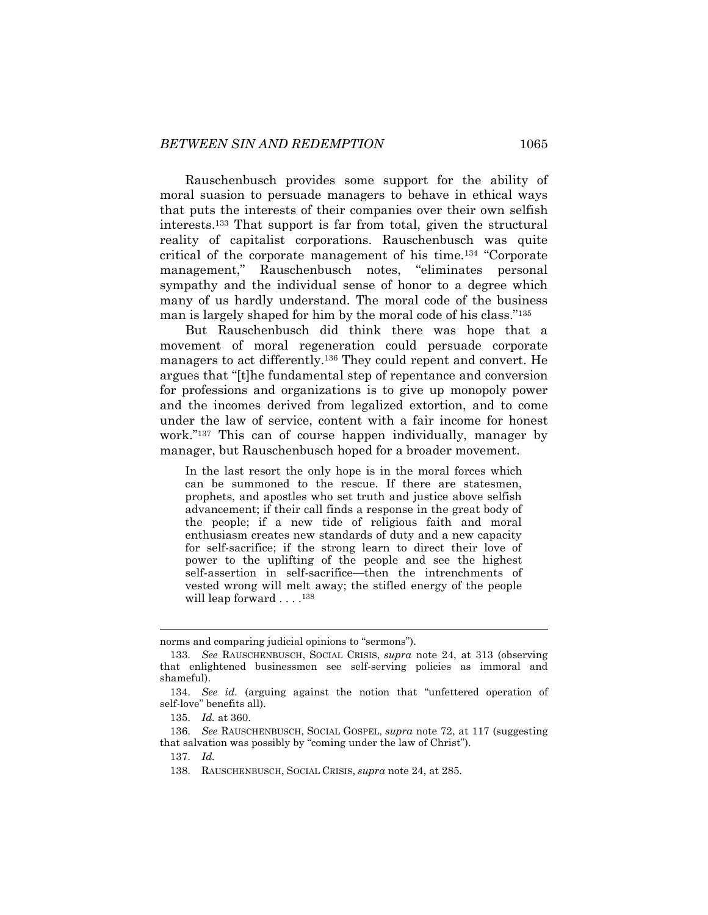Rauschenbusch provides some support for the ability of moral suasion to persuade managers to behave in ethical ways that puts the interests of their companies over their own selfish interests.<sup>133</sup> That support is far from total, given the structural reality of capitalist corporations. Rauschenbusch was quite critical of the corporate management of his time.<sup>134</sup> "Corporate management," Rauschenbusch notes, "eliminates personal sympathy and the individual sense of honor to a degree which many of us hardly understand. The moral code of the business man is largely shaped for him by the moral code of his class."<sup>135</sup>

But Rauschenbusch did think there was hope that a movement of moral regeneration could persuade corporate managers to act differently.<sup>136</sup> They could repent and convert. He argues that "[t]he fundamental step of repentance and conversion for professions and organizations is to give up monopoly power and the incomes derived from legalized extortion, and to come under the law of service, content with a fair income for honest work."<sup>137</sup> This can of course happen individually, manager by manager, but Rauschenbusch hoped for a broader movement.

In the last resort the only hope is in the moral forces which can be summoned to the rescue. If there are statesmen, prophets, and apostles who set truth and justice above selfish advancement; if their call finds a response in the great body of the people; if a new tide of religious faith and moral enthusiasm creates new standards of duty and a new capacity for self-sacrifice; if the strong learn to direct their love of power to the uplifting of the people and see the highest self-assertion in self-sacrifice—then the intrenchments of vested wrong will melt away; the stifled energy of the people will leap forward . . . .<sup>138</sup>

norms and comparing judicial opinions to "sermons").

<sup>133.</sup> *See* RAUSCHENBUSCH, SOCIAL CRISIS, *supra* note [24,](#page-5-1) at 313 (observing that enlightened businessmen see self-serving policies as immoral and shameful).

<sup>134.</sup> *See id.* (arguing against the notion that "unfettered operation of self-love" benefits all).

<sup>135.</sup> *Id.* at 360.

<sup>136.</sup> *See* RAUSCHENBUSCH, SOCIAL GOSPEL, *supra* note [72,](#page-13-0) at 117 (suggesting that salvation was possibly by "coming under the law of Christ").

<sup>137.</sup> *Id.* 

<sup>138.</sup> RAUSCHENBUSCH, SOCIAL CRISIS, *supra* note [24,](#page-5-1) at 285.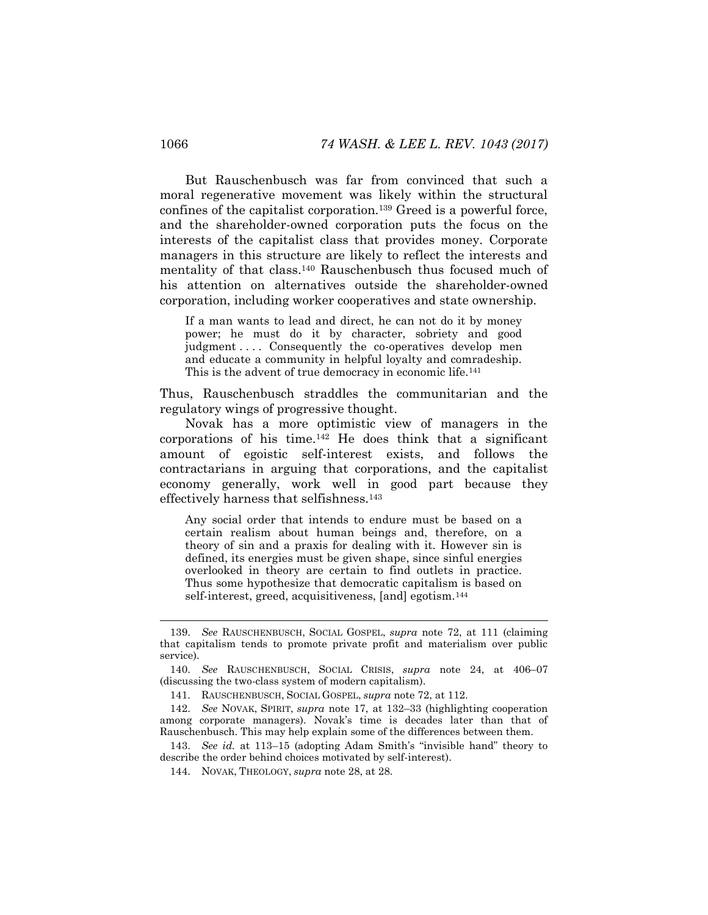But Rauschenbusch was far from convinced that such a moral regenerative movement was likely within the structural confines of the capitalist corporation.<sup>139</sup> Greed is a powerful force, and the shareholder-owned corporation puts the focus on the interests of the capitalist class that provides money. Corporate managers in this structure are likely to reflect the interests and mentality of that class.<sup>140</sup> Rauschenbusch thus focused much of his attention on alternatives outside the shareholder-owned corporation, including worker cooperatives and state ownership.

If a man wants to lead and direct, he can not do it by money power; he must do it by character, sobriety and good judgment .... Consequently the co-operatives develop men and educate a community in helpful loyalty and comradeship. This is the advent of true democracy in economic life.<sup>141</sup>

Thus, Rauschenbusch straddles the communitarian and the regulatory wings of progressive thought.

Novak has a more optimistic view of managers in the corporations of his time.<sup>142</sup> He does think that a significant amount of egoistic self-interest exists, and follows the contractarians in arguing that corporations, and the capitalist economy generally, work well in good part because they effectively harness that selfishness.<sup>143</sup>

Any social order that intends to endure must be based on a certain realism about human beings and, therefore, on a theory of sin and a praxis for dealing with it. However sin is defined, its energies must be given shape, since sinful energies overlooked in theory are certain to find outlets in practice. Thus some hypothesize that democratic capitalism is based on self-interest, greed, acquisitiveness, [and] egotism.<sup>144</sup>

<sup>139.</sup> *See* RAUSCHENBUSCH, SOCIAL GOSPEL, *supra* note [72,](#page-13-0) at 111 (claiming that capitalism tends to promote private profit and materialism over public service).

<sup>140.</sup> *See* RAUSCHENBUSCH, SOCIAL CRISIS, *supra* note [24,](#page-5-1) at 406–07 (discussing the two-class system of modern capitalism).

<sup>141.</sup> RAUSCHENBUSCH, SOCIAL GOSPEL, *supra* note [72,](#page-13-0) at 112.

<sup>142.</sup> *See* NOVAK, SPIRIT, *supra* note [17,](#page-4-0) at 132–33 (highlighting cooperation among corporate managers). Novak's time is decades later than that of Rauschenbusch. This may help explain some of the differences between them.

<sup>143.</sup> *See id.* at 113–15 (adopting Adam Smith's "invisible hand" theory to describe the order behind choices motivated by self-interest).

<sup>144.</sup> NOVAK, THEOLOGY, *supra* note [28,](#page-6-1) at 28.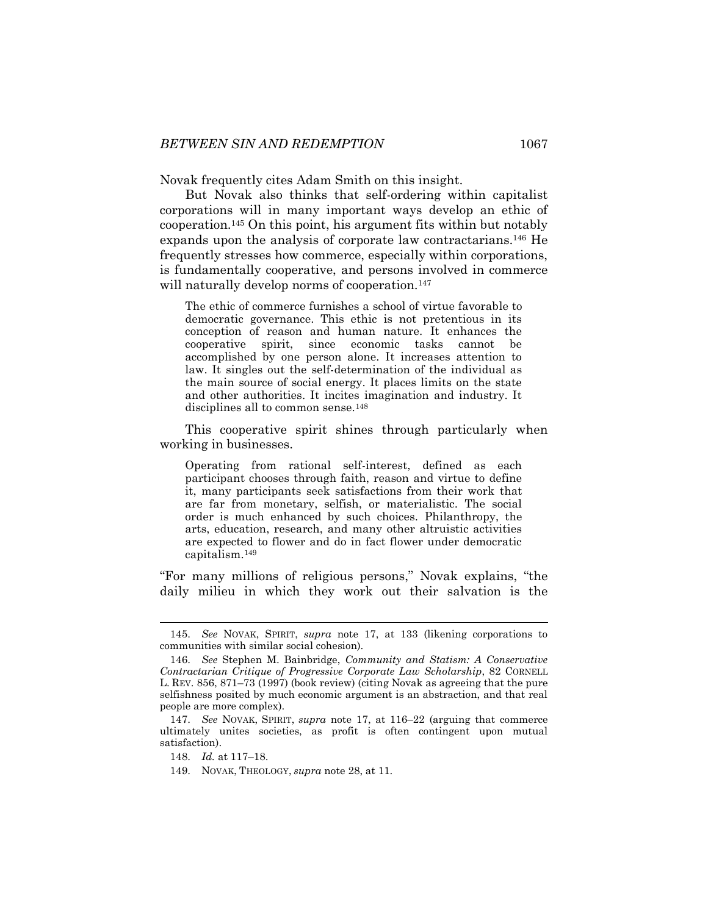Novak frequently cites Adam Smith on this insight.

But Novak also thinks that self-ordering within capitalist corporations will in many important ways develop an ethic of cooperation.<sup>145</sup> On this point, his argument fits within but notably expands upon the analysis of corporate law contractarians.<sup>146</sup> He frequently stresses how commerce, especially within corporations, is fundamentally cooperative, and persons involved in commerce will naturally develop norms of cooperation.<sup>147</sup>

<span id="page-25-0"></span>The ethic of commerce furnishes a school of virtue favorable to democratic governance. This ethic is not pretentious in its conception of reason and human nature. It enhances the cooperative spirit, since economic tasks cannot be accomplished by one person alone. It increases attention to law. It singles out the self-determination of the individual as the main source of social energy. It places limits on the state and other authorities. It incites imagination and industry. It disciplines all to common sense.<sup>148</sup>

This cooperative spirit shines through particularly when working in businesses.

Operating from rational self-interest, defined as each participant chooses through faith, reason and virtue to define it, many participants seek satisfactions from their work that are far from monetary, selfish, or materialistic. The social order is much enhanced by such choices. Philanthropy, the arts, education, research, and many other altruistic activities are expected to flower and do in fact flower under democratic capitalism.<sup>149</sup>

"For many millions of religious persons," Novak explains, "the daily milieu in which they work out their salvation is the

<sup>145.</sup> *See* NOVAK, SPIRIT, *supra* note [17,](#page-4-0) at 133 (likening corporations to communities with similar social cohesion).

<sup>146.</sup> *See* Stephen M. Bainbridge, *Community and Statism: A Conservative Contractarian Critique of Progressive Corporate Law Scholarship*, 82 CORNELL L. REV. 856, 871–73 (1997) (book review) (citing Novak as agreeing that the pure selfishness posited by much economic argument is an abstraction, and that real people are more complex).

<sup>147.</sup> *See* NOVAK, SPIRIT, *supra* note [17,](#page-4-0) at 116–22 (arguing that commerce ultimately unites societies, as profit is often contingent upon mutual satisfaction).

<sup>148.</sup> *Id.* at 117–18.

<sup>149.</sup> NOVAK, THEOLOGY, *supra* note [28,](#page-6-1) at 11.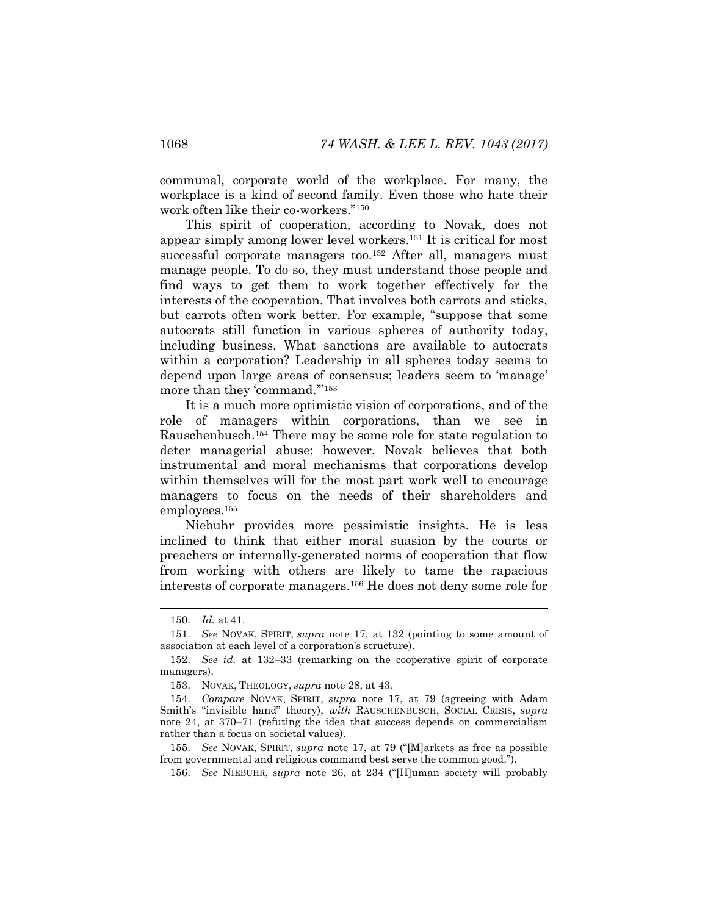communal, corporate world of the workplace. For many, the workplace is a kind of second family. Even those who hate their work often like their co-workers."<sup>150</sup>

This spirit of cooperation, according to Novak, does not appear simply among lower level workers.<sup>151</sup> It is critical for most successful corporate managers too.<sup>152</sup> After all, managers must manage people. To do so, they must understand those people and find ways to get them to work together effectively for the interests of the cooperation. That involves both carrots and sticks, but carrots often work better. For example, "suppose that some autocrats still function in various spheres of authority today, including business. What sanctions are available to autocrats within a corporation? Leadership in all spheres today seems to depend upon large areas of consensus; leaders seem to 'manage' more than they 'command.'"<sup>153</sup>

It is a much more optimistic vision of corporations, and of the role of managers within corporations, than we see in Rauschenbusch.<sup>154</sup> There may be some role for state regulation to deter managerial abuse; however, Novak believes that both instrumental and moral mechanisms that corporations develop within themselves will for the most part work well to encourage managers to focus on the needs of their shareholders and employees.<sup>155</sup>

Niebuhr provides more pessimistic insights. He is less inclined to think that either moral suasion by the courts or preachers or internally-generated norms of cooperation that flow from working with others are likely to tame the rapacious interests of corporate managers.<sup>156</sup> He does not deny some role for

l

156. *See* NIEBUHR, *supra* note [26](#page-6-2), at 234 ("[H]uman society will probably

<sup>150.</sup> *Id.* at 41.

<sup>151.</sup> *See* NOVAK, SPIRIT, *supra* note [17,](#page-4-0) at 132 (pointing to some amount of association at each level of a corporation's structure).

<sup>152.</sup> *See id.* at 132–33 (remarking on the cooperative spirit of corporate managers).

<sup>153.</sup> NOVAK, THEOLOGY, *supra* note [28,](#page-6-1) at 43.

<sup>154.</sup> *Compare* NOVAK, SPIRIT, *supra* note [17,](#page-4-0) at 79 (agreeing with Adam Smith's "invisible hand" theory), *with* RAUSCHENBUSCH, SOCIAL CRISIS, *supra* note [24,](#page-5-1) at 370–71 (refuting the idea that success depends on commercialism rather than a focus on societal values).

<sup>155.</sup> *See* NOVAK, SPIRIT, *supra* note [17](#page-4-0), at 79 ("[M]arkets as free as possible from governmental and religious command best serve the common good.").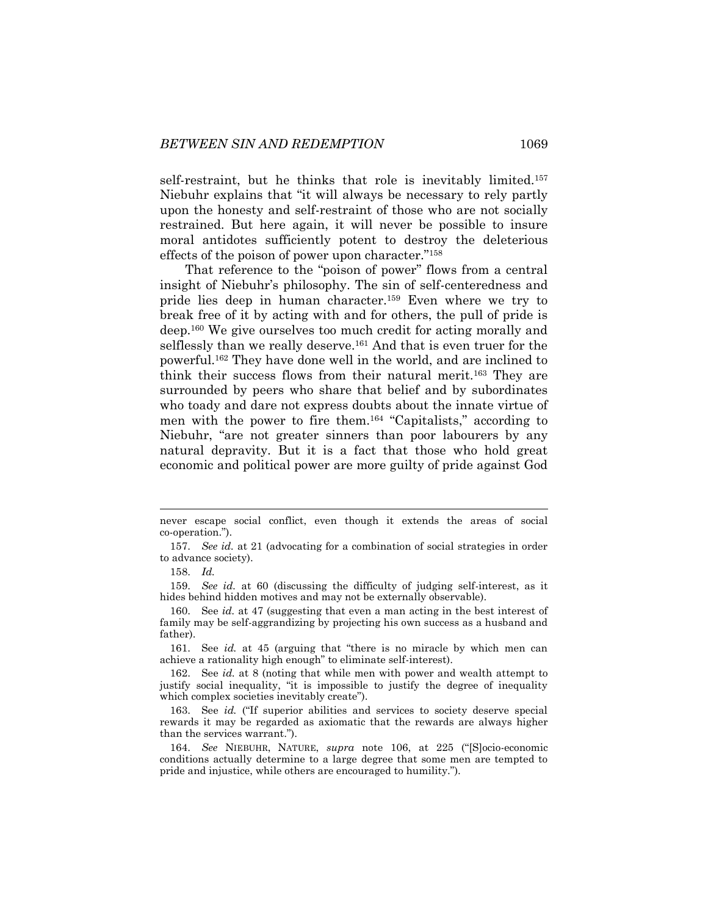self-restraint, but he thinks that role is inevitably limited.<sup>157</sup> Niebuhr explains that "it will always be necessary to rely partly upon the honesty and self-restraint of those who are not socially restrained. But here again, it will never be possible to insure moral antidotes sufficiently potent to destroy the deleterious effects of the poison of power upon character."<sup>158</sup>

That reference to the "poison of power" flows from a central insight of Niebuhr's philosophy. The sin of self-centeredness and pride lies deep in human character.<sup>159</sup> Even where we try to break free of it by acting with and for others, the pull of pride is deep.<sup>160</sup> We give ourselves too much credit for acting morally and selflessly than we really deserve.<sup>161</sup> And that is even truer for the powerful.<sup>162</sup> They have done well in the world, and are inclined to think their success flows from their natural merit.<sup>163</sup> They are surrounded by peers who share that belief and by subordinates who toady and dare not express doubts about the innate virtue of men with the power to fire them.<sup>164</sup> "Capitalists," according to Niebuhr, "are not greater sinners than poor labourers by any natural depravity. But it is a fact that those who hold great economic and political power are more guilty of pride against God

159. *See id.* at 60 (discussing the difficulty of judging self-interest, as it hides behind hidden motives and may not be externally observable).

161. See *id.* at 45 (arguing that "there is no miracle by which men can achieve a rationality high enough" to eliminate self-interest).

never escape social conflict, even though it extends the areas of social co-operation.").

<sup>157.</sup> *See id.* at 21 (advocating for a combination of social strategies in order to advance society).

<sup>158.</sup> *Id.*

<sup>160.</sup> See *id.* at 47 (suggesting that even a man acting in the best interest of family may be self-aggrandizing by projecting his own success as a husband and father).

<sup>162.</sup> See *id.* at 8 (noting that while men with power and wealth attempt to justify social inequality, "it is impossible to justify the degree of inequality which complex societies inevitably create").

<sup>163.</sup> See *id.* ("If superior abilities and services to society deserve special rewards it may be regarded as axiomatic that the rewards are always higher than the services warrant.").

<sup>164.</sup> *See* NIEBUHR, NATURE, *supra* note [106](#page-18-0), at 225 ("[S]ocio-economic conditions actually determine to a large degree that some men are tempted to pride and injustice, while others are encouraged to humility.").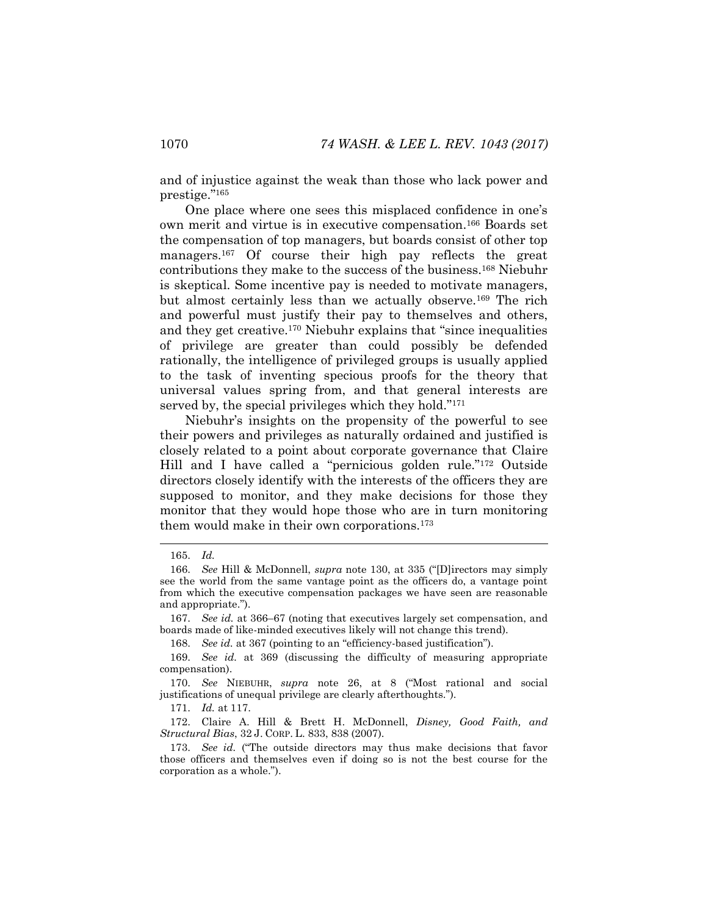and of injustice against the weak than those who lack power and prestige."<sup>165</sup>

One place where one sees this misplaced confidence in one's own merit and virtue is in executive compensation.<sup>166</sup> Boards set the compensation of top managers, but boards consist of other top managers.<sup>167</sup> Of course their high pay reflects the great contributions they make to the success of the business.<sup>168</sup> Niebuhr is skeptical. Some incentive pay is needed to motivate managers, but almost certainly less than we actually observe.<sup>169</sup> The rich and powerful must justify their pay to themselves and others, and they get creative.<sup>170</sup> Niebuhr explains that "since inequalities of privilege are greater than could possibly be defended rationally, the intelligence of privileged groups is usually applied to the task of inventing specious proofs for the theory that universal values spring from, and that general interests are served by, the special privileges which they hold."<sup>171</sup>

Niebuhr's insights on the propensity of the powerful to see their powers and privileges as naturally ordained and justified is closely related to a point about corporate governance that Claire Hill and I have called a "pernicious golden rule."<sup>172</sup> Outside directors closely identify with the interests of the officers they are supposed to monitor, and they make decisions for those they monitor that they would hope those who are in turn monitoring them would make in their own corporations.<sup>173</sup>

171. *Id.* at 117.

172. Claire A. Hill & Brett H. McDonnell, *Disney, Good Faith, and Structural Bias*, 32 J. CORP. L. 833, 838 (2007).

<sup>165.</sup> *Id.*

<sup>166.</sup> *See* Hill & McDonnell, *supra* note [130](#page-22-0), at 335 ("[D]irectors may simply see the world from the same vantage point as the officers do, a vantage point from which the executive compensation packages we have seen are reasonable and appropriate.").

<sup>167.</sup> *See id.* at 366–67 (noting that executives largely set compensation, and boards made of like-minded executives likely will not change this trend).

<sup>168.</sup> *See id.* at 367 (pointing to an "efficiency-based justification").

<sup>169.</sup> *See id.* at 369 (discussing the difficulty of measuring appropriate compensation).

<sup>170.</sup> *See* NIEBUHR, *supra* note [26](#page-6-2), at 8 ("Most rational and social justifications of unequal privilege are clearly afterthoughts.").

<sup>173.</sup> *See id.* ("The outside directors may thus make decisions that favor those officers and themselves even if doing so is not the best course for the corporation as a whole.").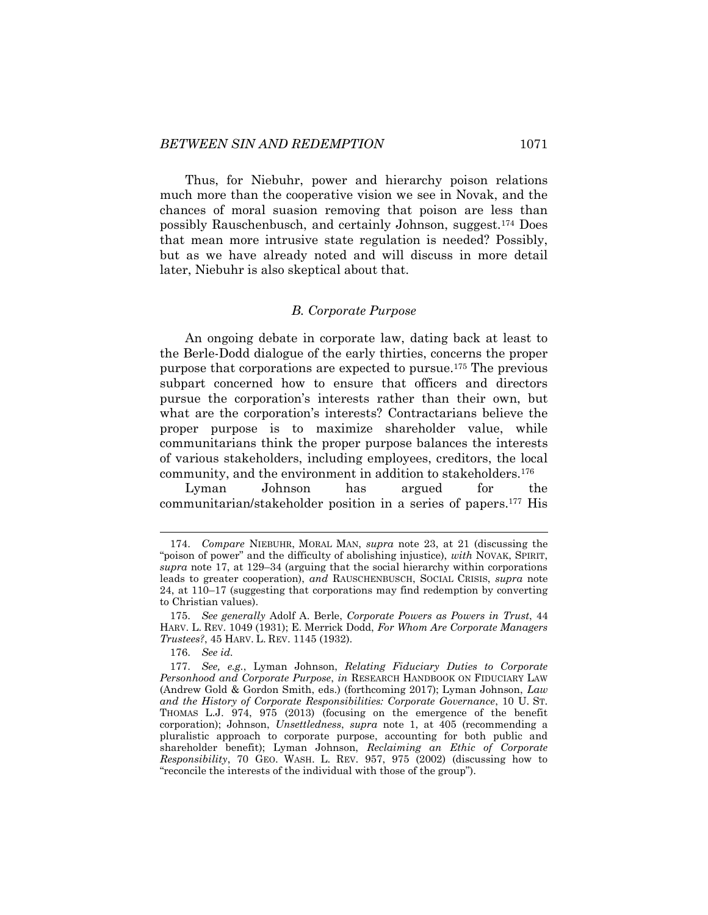Thus, for Niebuhr, power and hierarchy poison relations much more than the cooperative vision we see in Novak, and the chances of moral suasion removing that poison are less than possibly Rauschenbusch, and certainly Johnson, suggest.<sup>174</sup> Does that mean more intrusive state regulation is needed? Possibly, but as we have already noted and will discuss in more detail later, Niebuhr is also skeptical about that.

#### *B. Corporate Purpose*

An ongoing debate in corporate law, dating back at least to the Berle-Dodd dialogue of the early thirties, concerns the proper purpose that corporations are expected to pursue.<sup>175</sup> The previous subpart concerned how to ensure that officers and directors pursue the corporation's interests rather than their own, but what are the corporation's interests? Contractarians believe the proper purpose is to maximize shareholder value, while communitarians think the proper purpose balances the interests of various stakeholders, including employees, creditors, the local community, and the environment in addition to stakeholders.<sup>176</sup>

Lyman Johnson has argued for the communitarian/stakeholder position in a series of papers.<sup>177</sup> His

<sup>174.</sup> *Compare* NIEBUHR, MORAL MAN, *supra* note [23,](#page-5-0) at 21 (discussing the "poison of power" and the difficulty of abolishing injustice), *with* NOVAK, SPIRIT, *supra* note [17,](#page-4-0) at 129–34 (arguing that the social hierarchy within corporations leads to greater cooperation), *and* RAUSCHENBUSCH, SOCIAL CRISIS, *supra* note [24,](#page-5-1) at 110–17 (suggesting that corporations may find redemption by converting to Christian values).

<sup>175.</sup> *See generally* Adolf A. Berle, *Corporate Powers as Powers in Trust*, 44 HARV. L. REV. 1049 (1931); E. Merrick Dodd, *For Whom Are Corporate Managers Trustees?*, 45 HARV. L. REV. 1145 (1932).

<sup>176.</sup> *See id.*

<sup>177.</sup> *See, e.g.*, Lyman Johnson, *Relating Fiduciary Duties to Corporate Personhood and Corporate Purpose*, *in* RESEARCH HANDBOOK ON FIDUCIARY LAW (Andrew Gold & Gordon Smith, eds.) (forthcoming 2017); Lyman Johnson, *Law and the History of Corporate Responsibilities: Corporate Governance*, 10 U. ST. THOMAS L.J. 974, 975 (2013) (focusing on the emergence of the benefit corporation); Johnson, *Unsettledness*, *supra* note [1,](#page-1-0) at 405 (recommending a pluralistic approach to corporate purpose, accounting for both public and shareholder benefit); Lyman Johnson, *Reclaiming an Ethic of Corporate Responsibility*, 70 GEO. WASH. L. REV. 957, 975 (2002) (discussing how to "reconcile the interests of the individual with those of the group").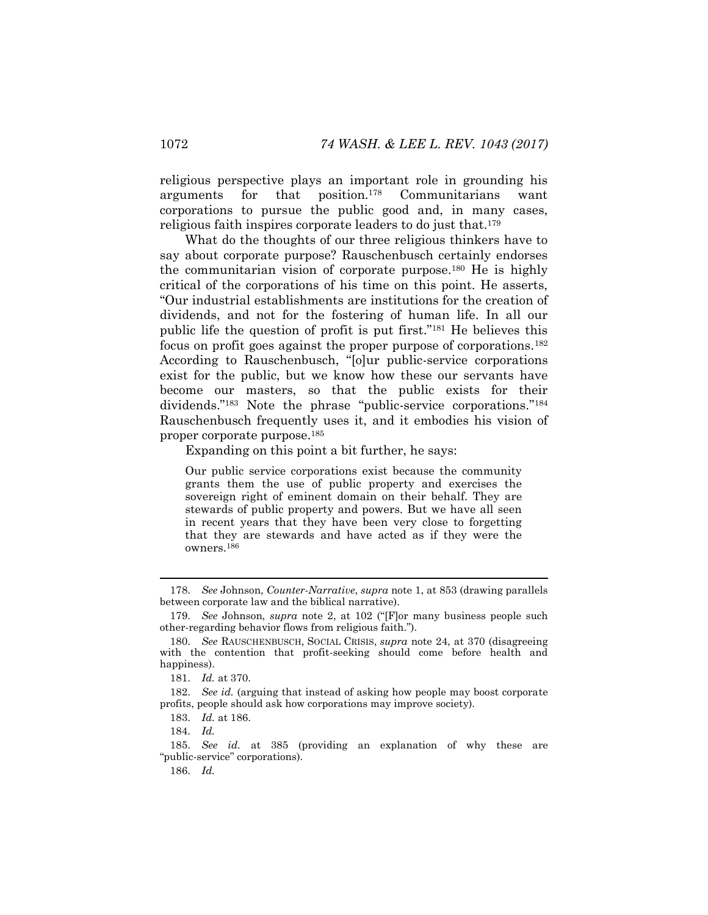religious perspective plays an important role in grounding his arguments for that position.<sup>178</sup> Communitarians want corporations to pursue the public good and, in many cases, religious faith inspires corporate leaders to do just that.<sup>179</sup>

What do the thoughts of our three religious thinkers have to say about corporate purpose? Rauschenbusch certainly endorses the communitarian vision of corporate purpose.<sup>180</sup> He is highly critical of the corporations of his time on this point. He asserts, "Our industrial establishments are institutions for the creation of dividends, and not for the fostering of human life. In all our public life the question of profit is put first."<sup>181</sup> He believes this focus on profit goes against the proper purpose of corporations.<sup>182</sup> According to Rauschenbusch, "[o]ur public-service corporations exist for the public, but we know how these our servants have become our masters, so that the public exists for their dividends."<sup>183</sup> Note the phrase "public-service corporations."<sup>184</sup> Rauschenbusch frequently uses it, and it embodies his vision of proper corporate purpose.<sup>185</sup>

Expanding on this point a bit further, he says:

Our public service corporations exist because the community grants them the use of public property and exercises the sovereign right of eminent domain on their behalf. They are stewards of public property and powers. But we have all seen in recent years that they have been very close to forgetting that they are stewards and have acted as if they were the owners.<sup>186</sup>

186. *Id.*

<sup>178.</sup> *See* Johnson, *Counter-Narrative*, *supra* note [1,](#page-1-0) at 853 (drawing parallels between corporate law and the biblical narrative).

<sup>179.</sup> *See* Johnson, *supra* note [2](#page-2-0), at 102 ("[F]or many business people such other-regarding behavior flows from religious faith.").

<sup>180.</sup> *See* RAUSCHENBUSCH, SOCIAL CRISIS, *supra* note [24,](#page-5-1) at 370 (disagreeing with the contention that profit-seeking should come before health and happiness).

<sup>181.</sup> *Id.* at 370.

<sup>182.</sup> *See id.* (arguing that instead of asking how people may boost corporate profits, people should ask how corporations may improve society).

<sup>183.</sup> *Id.* at 186.

<sup>184.</sup> *Id.* 

<sup>185.</sup> *See id.* at 385 (providing an explanation of why these are "public-service" corporations).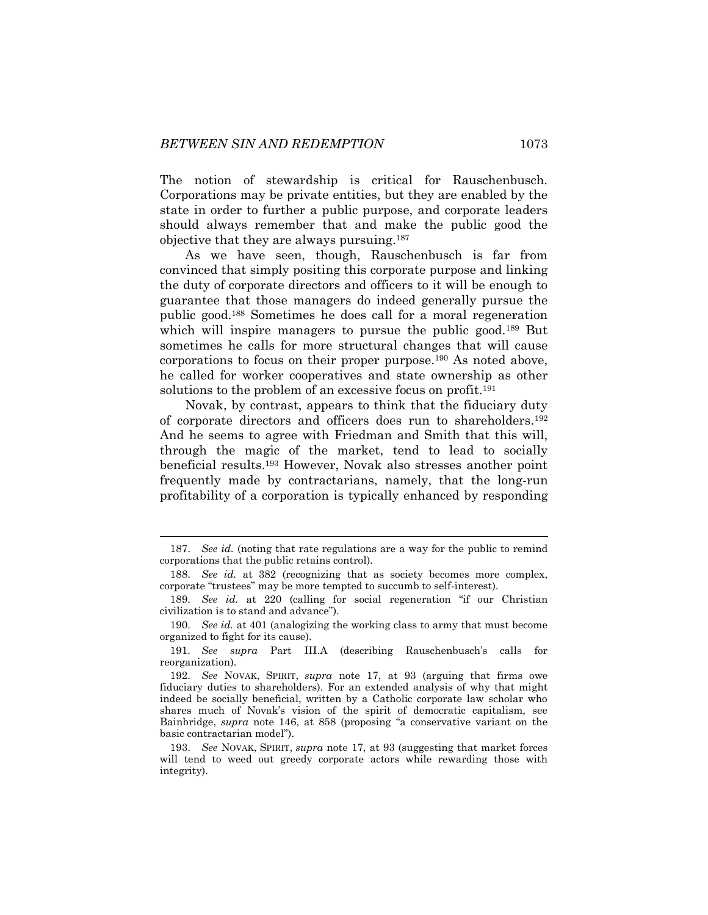The notion of stewardship is critical for Rauschenbusch. Corporations may be private entities, but they are enabled by the state in order to further a public purpose, and corporate leaders should always remember that and make the public good the objective that they are always pursuing.<sup>187</sup>

As we have seen, though, Rauschenbusch is far from convinced that simply positing this corporate purpose and linking the duty of corporate directors and officers to it will be enough to guarantee that those managers do indeed generally pursue the public good.<sup>188</sup> Sometimes he does call for a moral regeneration which will inspire managers to pursue the public good.<sup>189</sup> But sometimes he calls for more structural changes that will cause corporations to focus on their proper purpose.<sup>190</sup> As noted above, he called for worker cooperatives and state ownership as other solutions to the problem of an excessive focus on profit.<sup>191</sup>

Novak, by contrast, appears to think that the fiduciary duty of corporate directors and officers does run to shareholders.<sup>192</sup> And he seems to agree with Friedman and Smith that this will, through the magic of the market, tend to lead to socially beneficial results.<sup>193</sup> However, Novak also stresses another point frequently made by contractarians, namely, that the long-run profitability of a corporation is typically enhanced by responding

<sup>187.</sup> *See id.* (noting that rate regulations are a way for the public to remind corporations that the public retains control).

<sup>188.</sup> *See id.* at 382 (recognizing that as society becomes more complex, corporate "trustees" may be more tempted to succumb to self-interest).

<sup>189.</sup> *See id.* at 220 (calling for social regeneration "if our Christian civilization is to stand and advance").

<sup>190.</sup> *See id.* at 401 (analogizing the working class to army that must become organized to fight for its cause).

<sup>191.</sup> *See supra* Part III.A (describing Rauschenbusch's calls for reorganization).

<sup>192.</sup> *See* NOVAK, SPIRIT, *supra* note [17,](#page-4-0) at 93 (arguing that firms owe fiduciary duties to shareholders). For an extended analysis of why that might indeed be socially beneficial, written by a Catholic corporate law scholar who shares much of Novak's vision of the spirit of democratic capitalism, see Bainbridge, *supra* note [146](#page-25-0), at 858 (proposing "a conservative variant on the basic contractarian model").

<sup>193.</sup> *See* NOVAK, SPIRIT, *supra* note [17,](#page-4-0) at 93 (suggesting that market forces will tend to weed out greedy corporate actors while rewarding those with integrity).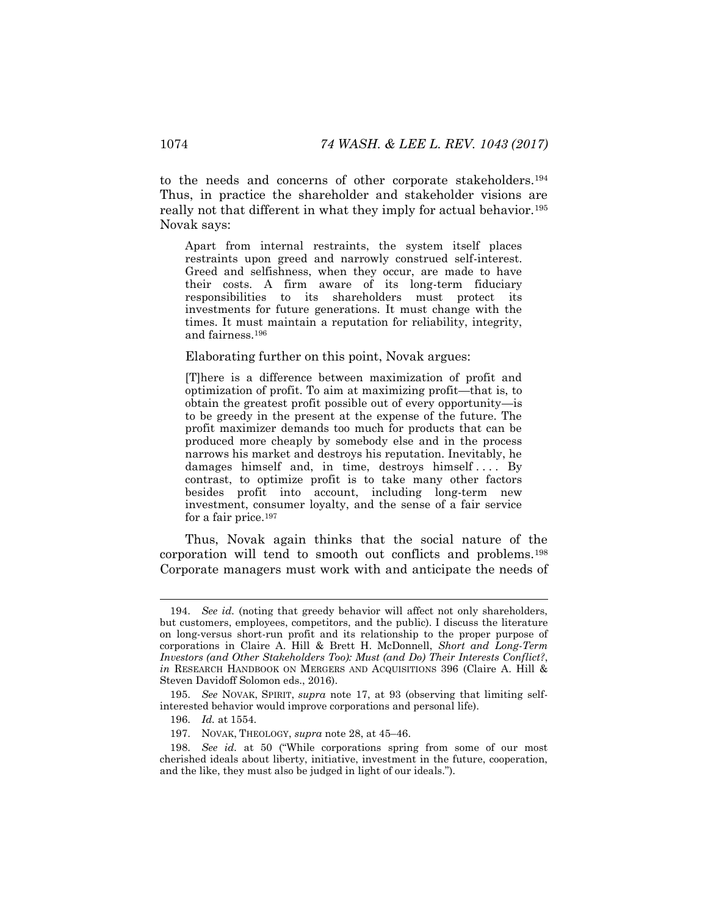to the needs and concerns of other corporate stakeholders.<sup>194</sup> Thus, in practice the shareholder and stakeholder visions are really not that different in what they imply for actual behavior.<sup>195</sup> Novak says:

Apart from internal restraints, the system itself places restraints upon greed and narrowly construed self-interest. Greed and selfishness, when they occur, are made to have their costs. A firm aware of its long-term fiduciary responsibilities to its shareholders must protect its investments for future generations. It must change with the times. It must maintain a reputation for reliability, integrity, and fairness.<sup>196</sup>

Elaborating further on this point, Novak argues:

[T]here is a difference between maximization of profit and optimization of profit. To aim at maximizing profit—that is, to obtain the greatest profit possible out of every opportunity—is to be greedy in the present at the expense of the future. The profit maximizer demands too much for products that can be produced more cheaply by somebody else and in the process narrows his market and destroys his reputation. Inevitably, he damages himself and, in time, destroys himself.... By contrast, to optimize profit is to take many other factors besides profit into account, including long-term new investment, consumer loyalty, and the sense of a fair service for a fair price.<sup>197</sup>

Thus, Novak again thinks that the social nature of the corporation will tend to smooth out conflicts and problems.<sup>198</sup> Corporate managers must work with and anticipate the needs of

<sup>194.</sup> *See id.* (noting that greedy behavior will affect not only shareholders, but customers, employees, competitors, and the public). I discuss the literature on long-versus short-run profit and its relationship to the proper purpose of corporations in Claire A. Hill & Brett H. McDonnell, *Short and Long-Term Investors (and Other Stakeholders Too): Must (and Do) Their Interests Conflict?*, *in* RESEARCH HANDBOOK ON MERGERS AND ACQUISITIONS 396 (Claire A. Hill & Steven Davidoff Solomon eds., 2016).

<sup>195.</sup> *See* NOVAK, SPIRIT, *supra* note [17,](#page-4-0) at 93 (observing that limiting selfinterested behavior would improve corporations and personal life).

<sup>196.</sup> *Id.* at 1554.

<sup>197.</sup> NOVAK, THEOLOGY, *supra* not[e 28,](#page-6-1) at 45–46.

<sup>198.</sup> *See id.* at 50 ("While corporations spring from some of our most cherished ideals about liberty, initiative, investment in the future, cooperation, and the like, they must also be judged in light of our ideals.").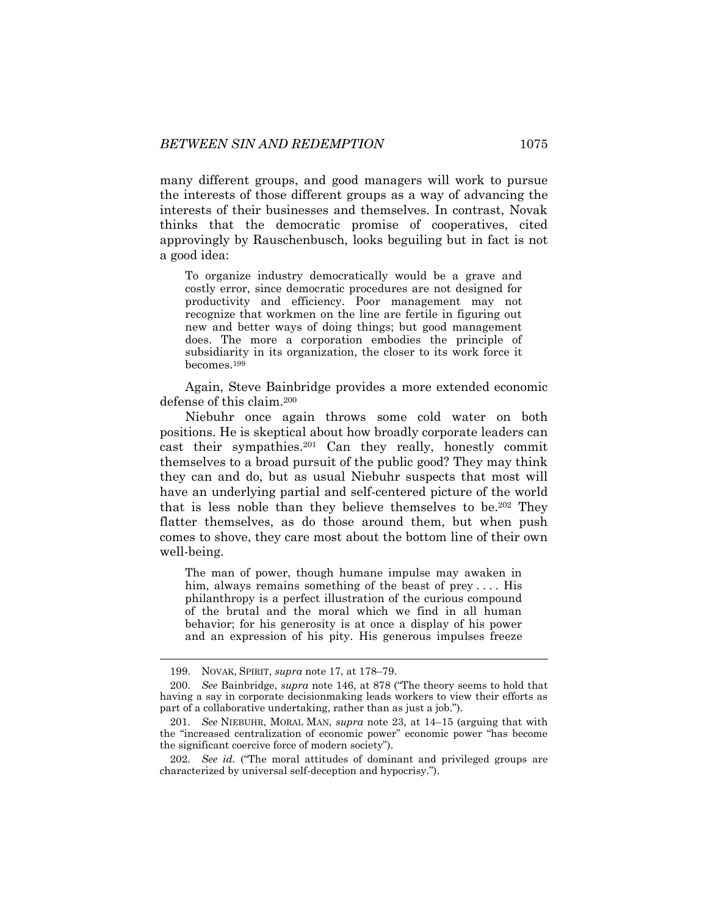many different groups, and good managers will work to pursue the interests of those different groups as a way of advancing the interests of their businesses and themselves. In contrast, Novak thinks that the democratic promise of cooperatives, cited approvingly by Rauschenbusch, looks beguiling but in fact is not a good idea:

To organize industry democratically would be a grave and costly error, since democratic procedures are not designed for productivity and efficiency. Poor management may not recognize that workmen on the line are fertile in figuring out new and better ways of doing things; but good management does. The more a corporation embodies the principle of subsidiarity in its organization, the closer to its work force it becomes.<sup>199</sup>

Again, Steve Bainbridge provides a more extended economic defense of this claim.<sup>200</sup>

Niebuhr once again throws some cold water on both positions. He is skeptical about how broadly corporate leaders can cast their sympathies.<sup>201</sup> Can they really, honestly commit themselves to a broad pursuit of the public good? They may think they can and do, but as usual Niebuhr suspects that most will have an underlying partial and self-centered picture of the world that is less noble than they believe themselves to be.<sup>202</sup> They flatter themselves, as do those around them, but when push comes to shove, they care most about the bottom line of their own well-being.

The man of power, though humane impulse may awaken in him, always remains something of the beast of prey .... His philanthropy is a perfect illustration of the curious compound of the brutal and the moral which we find in all human behavior; for his generosity is at once a display of his power and an expression of his pity. His generous impulses freeze

<sup>199.</sup> NOVAK, SPIRIT, *supra* not[e 17,](#page-4-0) at 178–79.

<sup>200.</sup> *See* Bainbridge, *supra* note [146](#page-25-0), at 878 ("The theory seems to hold that having a say in corporate decisionmaking leads workers to view their efforts as part of a collaborative undertaking, rather than as just a job.").

<sup>201.</sup> *See* NIEBUHR, MORAL MAN, *supra* note [23,](#page-5-0) at 14–15 (arguing that with the "increased centralization of economic power" economic power "has become the significant coercive force of modern society").

<sup>202.</sup> *See id.* ("The moral attitudes of dominant and privileged groups are characterized by universal self-deception and hypocrisy.").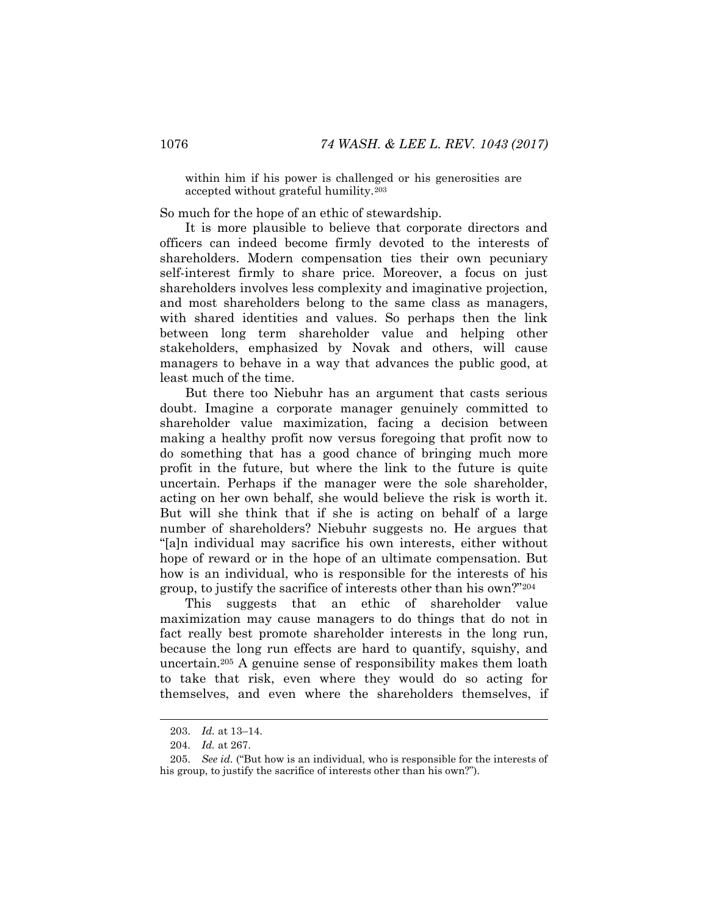within him if his power is challenged or his generosities are accepted without grateful humility.<sup>203</sup>

So much for the hope of an ethic of stewardship.

It is more plausible to believe that corporate directors and officers can indeed become firmly devoted to the interests of shareholders. Modern compensation ties their own pecuniary self-interest firmly to share price. Moreover, a focus on just shareholders involves less complexity and imaginative projection, and most shareholders belong to the same class as managers, with shared identities and values. So perhaps then the link between long term shareholder value and helping other stakeholders, emphasized by Novak and others, will cause managers to behave in a way that advances the public good, at least much of the time.

But there too Niebuhr has an argument that casts serious doubt. Imagine a corporate manager genuinely committed to shareholder value maximization, facing a decision between making a healthy profit now versus foregoing that profit now to do something that has a good chance of bringing much more profit in the future, but where the link to the future is quite uncertain. Perhaps if the manager were the sole shareholder, acting on her own behalf, she would believe the risk is worth it. But will she think that if she is acting on behalf of a large number of shareholders? Niebuhr suggests no. He argues that "[a]n individual may sacrifice his own interests, either without hope of reward or in the hope of an ultimate compensation. But how is an individual, who is responsible for the interests of his group, to justify the sacrifice of interests other than his own?"<sup>204</sup>

This suggests that an ethic of shareholder value maximization may cause managers to do things that do not in fact really best promote shareholder interests in the long run, because the long run effects are hard to quantify, squishy, and uncertain.<sup>205</sup> A genuine sense of responsibility makes them loath to take that risk, even where they would do so acting for themselves, and even where the shareholders themselves, if

<sup>203.</sup> *Id.* at 13–14.

<sup>204.</sup> *Id.* at 267.

<sup>205.</sup> *See id.* ("But how is an individual, who is responsible for the interests of his group, to justify the sacrifice of interests other than his own?").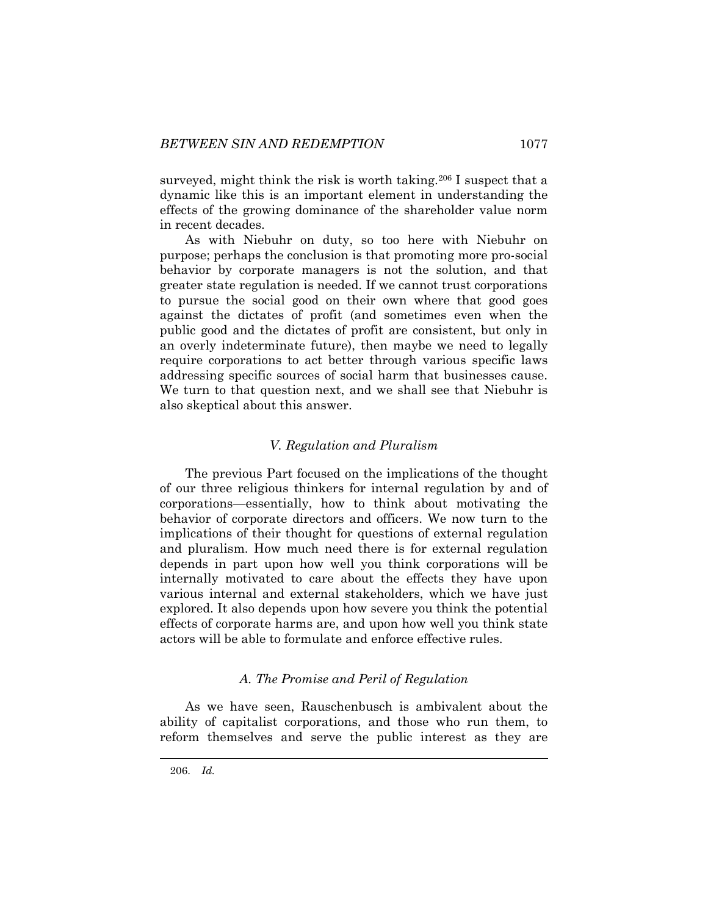surveyed, might think the risk is worth taking.<sup>206</sup> I suspect that a dynamic like this is an important element in understanding the effects of the growing dominance of the shareholder value norm in recent decades.

As with Niebuhr on duty, so too here with Niebuhr on purpose; perhaps the conclusion is that promoting more pro-social behavior by corporate managers is not the solution, and that greater state regulation is needed. If we cannot trust corporations to pursue the social good on their own where that good goes against the dictates of profit (and sometimes even when the public good and the dictates of profit are consistent, but only in an overly indeterminate future), then maybe we need to legally require corporations to act better through various specific laws addressing specific sources of social harm that businesses cause. We turn to that question next, and we shall see that Niebuhr is also skeptical about this answer.

#### *V. Regulation and Pluralism*

The previous Part focused on the implications of the thought of our three religious thinkers for internal regulation by and of corporations—essentially, how to think about motivating the behavior of corporate directors and officers. We now turn to the implications of their thought for questions of external regulation and pluralism. How much need there is for external regulation depends in part upon how well you think corporations will be internally motivated to care about the effects they have upon various internal and external stakeholders, which we have just explored. It also depends upon how severe you think the potential effects of corporate harms are, and upon how well you think state actors will be able to formulate and enforce effective rules.

# *A. The Promise and Peril of Regulation*

As we have seen, Rauschenbusch is ambivalent about the ability of capitalist corporations, and those who run them, to reform themselves and serve the public interest as they are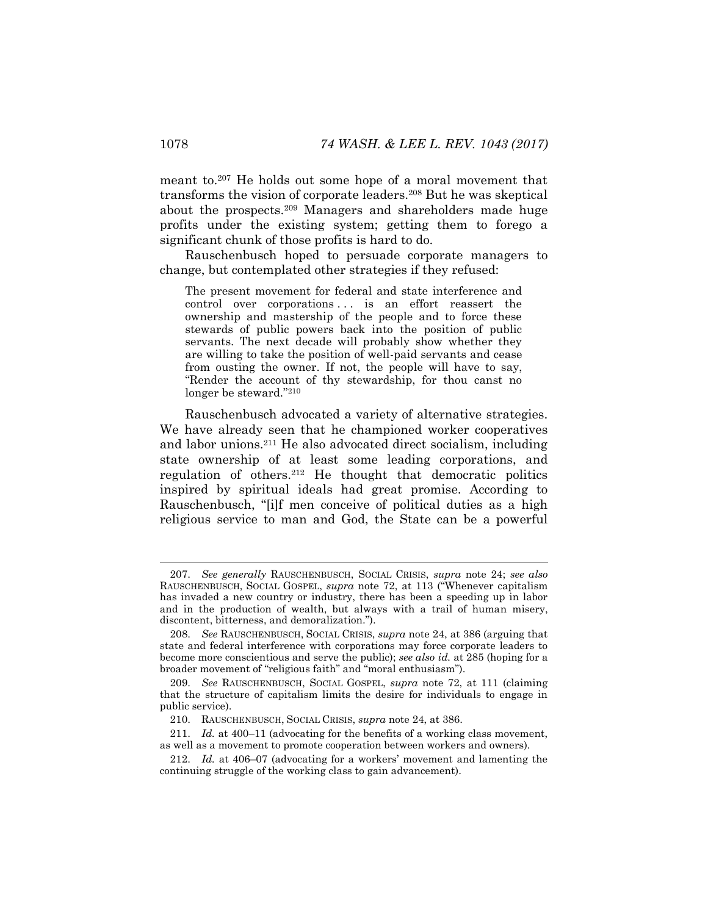meant to.<sup>207</sup> He holds out some hope of a moral movement that transforms the vision of corporate leaders.<sup>208</sup> But he was skeptical about the prospects.<sup>209</sup> Managers and shareholders made huge profits under the existing system; getting them to forego a significant chunk of those profits is hard to do.

Rauschenbusch hoped to persuade corporate managers to change, but contemplated other strategies if they refused:

The present movement for federal and state interference and control over corporations ... is an effort reassert the ownership and mastership of the people and to force these stewards of public powers back into the position of public servants. The next decade will probably show whether they are willing to take the position of well-paid servants and cease from ousting the owner. If not, the people will have to say, "Render the account of thy stewardship, for thou canst no longer be steward." 210

Rauschenbusch advocated a variety of alternative strategies. We have already seen that he championed worker cooperatives and labor unions.<sup>211</sup> He also advocated direct socialism, including state ownership of at least some leading corporations, and regulation of others.<sup>212</sup> He thought that democratic politics inspired by spiritual ideals had great promise. According to Rauschenbusch, "[i]f men conceive of political duties as a high religious service to man and God, the State can be a powerful

<sup>207.</sup> *See generally* RAUSCHENBUSCH, SOCIAL CRISIS, *supra* note [24;](#page-5-1) *see also*  RAUSCHENBUSCH, SOCIAL GOSPEL, *supra* note [72,](#page-13-0) at 113 ("Whenever capitalism has invaded a new country or industry, there has been a speeding up in labor and in the production of wealth, but always with a trail of human misery, discontent, bitterness, and demoralization.").

<sup>208.</sup> *See* RAUSCHENBUSCH, SOCIAL CRISIS, *supra* note [24,](#page-5-1) at 386 (arguing that state and federal interference with corporations may force corporate leaders to become more conscientious and serve the public); *see also id.* at 285 (hoping for a broader movement of "religious faith" and "moral enthusiasm").

<sup>209.</sup> *See* RAUSCHENBUSCH, SOCIAL GOSPEL, *supra* note [72,](#page-13-0) at 111 (claiming that the structure of capitalism limits the desire for individuals to engage in public service).

<sup>210.</sup> RAUSCHENBUSCH, SOCIAL CRISIS, *supra* not[e 24,](#page-5-1) at 386.

<sup>211.</sup> *Id.* at 400–11 (advocating for the benefits of a working class movement, as well as a movement to promote cooperation between workers and owners).

<sup>212.</sup> *Id.* at 406–07 (advocating for a workers' movement and lamenting the continuing struggle of the working class to gain advancement).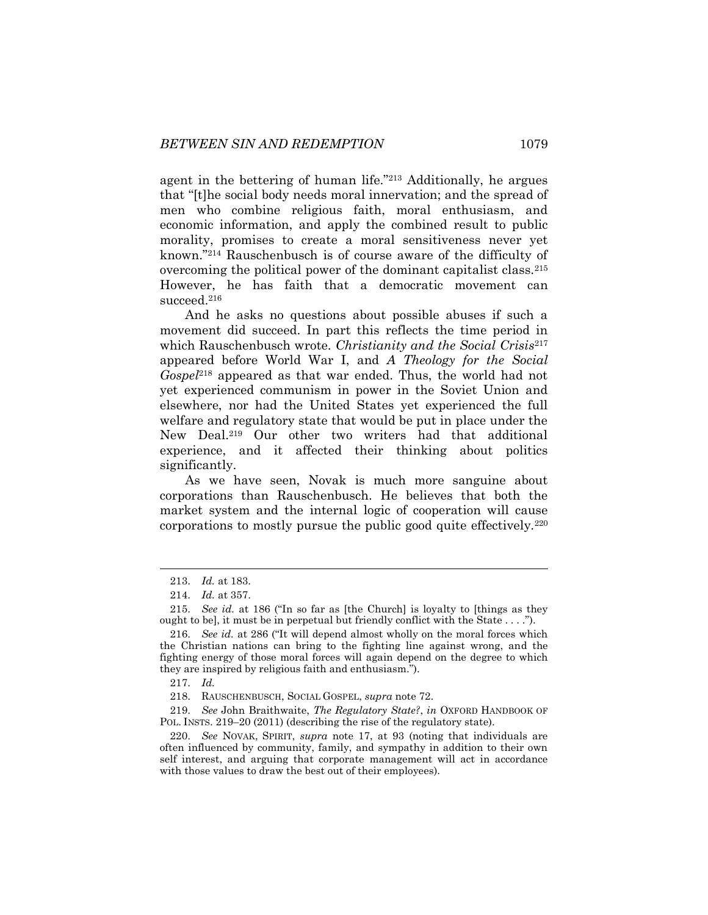agent in the bettering of human life."<sup>213</sup> Additionally, he argues that "[t]he social body needs moral innervation; and the spread of men who combine religious faith, moral enthusiasm, and economic information, and apply the combined result to public morality, promises to create a moral sensitiveness never yet known."<sup>214</sup> Rauschenbusch is of course aware of the difficulty of overcoming the political power of the dominant capitalist class.<sup>215</sup> However, he has faith that a democratic movement can succeed.<sup>216</sup>

And he asks no questions about possible abuses if such a movement did succeed. In part this reflects the time period in which Rauschenbusch wrote. *Christianity and the Social Crisis*<sup>217</sup> appeared before World War I, and *A Theology for the Social Gospel*<sup>218</sup> appeared as that war ended. Thus, the world had not yet experienced communism in power in the Soviet Union and elsewhere, nor had the United States yet experienced the full welfare and regulatory state that would be put in place under the New Deal.<sup>219</sup> Our other two writers had that additional experience, and it affected their thinking about politics significantly.

As we have seen, Novak is much more sanguine about corporations than Rauschenbusch. He believes that both the market system and the internal logic of cooperation will cause corporations to mostly pursue the public good quite effectively.<sup>220</sup>

<sup>213.</sup> *Id.* at 183.

<sup>214.</sup> *Id.* at 357.

<sup>215.</sup> *See id.* at 186 ("In so far as [the Church] is loyalty to [things as they ought to be], it must be in perpetual but friendly conflict with the State . . . .").

<sup>216.</sup> *See id.* at 286 ("It will depend almost wholly on the moral forces which the Christian nations can bring to the fighting line against wrong, and the fighting energy of those moral forces will again depend on the degree to which they are inspired by religious faith and enthusiasm.").

<sup>217.</sup> *Id.*

<sup>218.</sup> RAUSCHENBUSCH, SOCIAL GOSPEL, *supra* not[e 72.](#page-13-0)

<sup>219.</sup> *See* John Braithwaite, *The Regulatory State?*, *in* OXFORD HANDBOOK OF POL. INSTS. 219–20 (2011) (describing the rise of the regulatory state).

<sup>220.</sup> *See* NOVAK, SPIRIT, *supra* note [17,](#page-4-0) at 93 (noting that individuals are often influenced by community, family, and sympathy in addition to their own self interest, and arguing that corporate management will act in accordance with those values to draw the best out of their employees).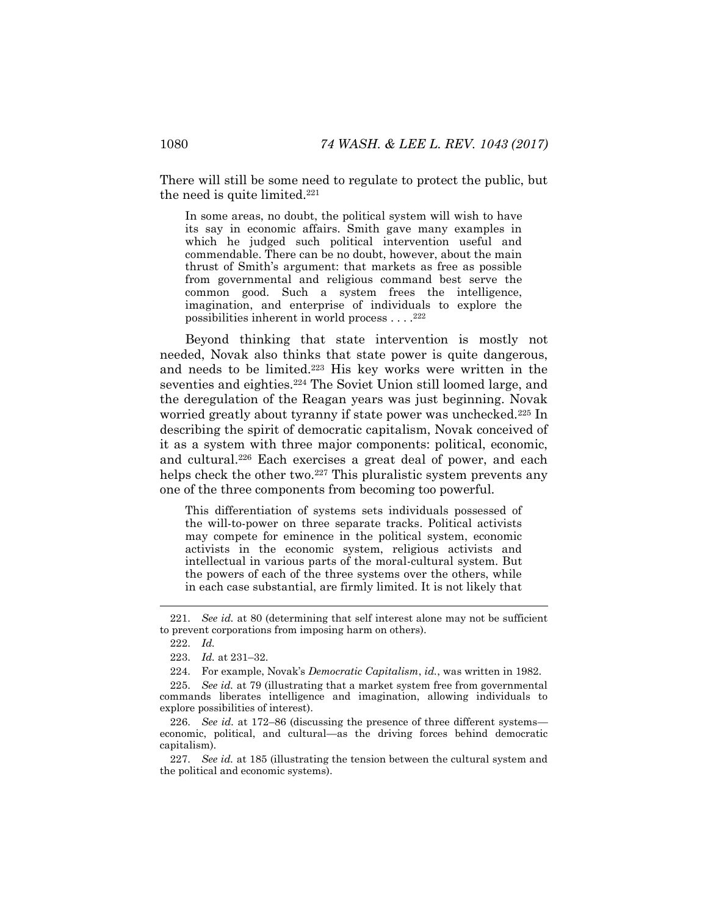There will still be some need to regulate to protect the public, but the need is quite limited.<sup>221</sup>

In some areas, no doubt, the political system will wish to have its say in economic affairs. Smith gave many examples in which he judged such political intervention useful and commendable. There can be no doubt, however, about the main thrust of Smith's argument: that markets as free as possible from governmental and religious command best serve the common good. Such a system frees the intelligence, imagination, and enterprise of individuals to explore the possibilities inherent in world process . . . . 222

Beyond thinking that state intervention is mostly not needed, Novak also thinks that state power is quite dangerous, and needs to be limited.<sup>223</sup> His key works were written in the seventies and eighties.<sup>224</sup> The Soviet Union still loomed large, and the deregulation of the Reagan years was just beginning. Novak worried greatly about tyranny if state power was unchecked.<sup>225</sup> In describing the spirit of democratic capitalism, Novak conceived of it as a system with three major components: political, economic, and cultural.<sup>226</sup> Each exercises a great deal of power, and each helps check the other two.<sup>227</sup> This pluralistic system prevents any one of the three components from becoming too powerful.

This differentiation of systems sets individuals possessed of the will-to-power on three separate tracks. Political activists may compete for eminence in the political system, economic activists in the economic system, religious activists and intellectual in various parts of the moral-cultural system. But the powers of each of the three systems over the others, while in each case substantial, are firmly limited. It is not likely that

<sup>221.</sup> *See id.* at 80 (determining that self interest alone may not be sufficient to prevent corporations from imposing harm on others).

<sup>222.</sup> *Id.*

<sup>223.</sup> *Id.* at 231–32.

<sup>224.</sup> For example, Novak's *Democratic Capitalism*, *id.*, was written in 1982.

<sup>225.</sup> *See id.* at 79 (illustrating that a market system free from governmental commands liberates intelligence and imagination, allowing individuals to explore possibilities of interest).

<sup>226.</sup> *See id.* at 172–86 (discussing the presence of three different systems economic, political, and cultural—as the driving forces behind democratic capitalism).

<sup>227.</sup> *See id.* at 185 (illustrating the tension between the cultural system and the political and economic systems).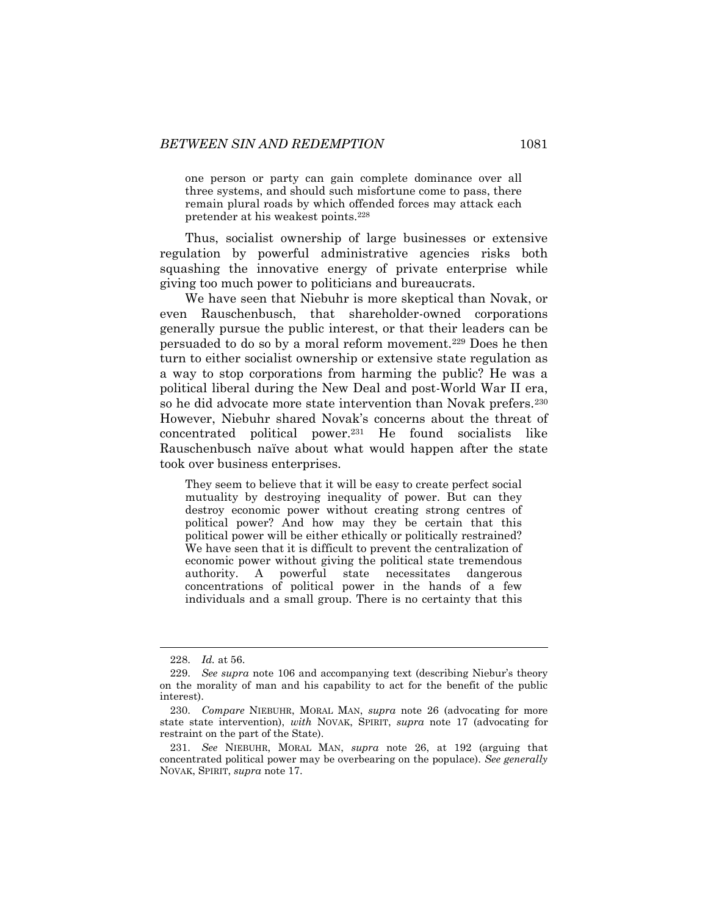one person or party can gain complete dominance over all three systems, and should such misfortune come to pass, there remain plural roads by which offended forces may attack each pretender at his weakest points.<sup>228</sup>

Thus, socialist ownership of large businesses or extensive regulation by powerful administrative agencies risks both squashing the innovative energy of private enterprise while giving too much power to politicians and bureaucrats.

We have seen that Niebuhr is more skeptical than Novak, or even Rauschenbusch, that shareholder-owned corporations generally pursue the public interest, or that their leaders can be persuaded to do so by a moral reform movement.<sup>229</sup> Does he then turn to either socialist ownership or extensive state regulation as a way to stop corporations from harming the public? He was a political liberal during the New Deal and post-World War II era, so he did advocate more state intervention than Novak prefers.<sup>230</sup> However, Niebuhr shared Novak's concerns about the threat of concentrated political power.<sup>231</sup> He found socialists like Rauschenbusch naïve about what would happen after the state took over business enterprises.

They seem to believe that it will be easy to create perfect social mutuality by destroying inequality of power. But can they destroy economic power without creating strong centres of political power? And how may they be certain that this political power will be either ethically or politically restrained? We have seen that it is difficult to prevent the centralization of economic power without giving the political state tremendous authority. A powerful state necessitates dangerous concentrations of political power in the hands of a few individuals and a small group. There is no certainty that this

<sup>228.</sup> *Id.* at 56.

<sup>229.</sup> *See supra* note [106](#page-18-0) and accompanying text (describing Niebur's theory on the morality of man and his capability to act for the benefit of the public interest).

<sup>230.</sup> *Compare* NIEBUHR, MORAL MAN, *supra* note [26](#page-6-2) (advocating for more state state intervention), *with* NOVAK, SPIRIT, *supra* note [17](#page-4-0) (advocating for restraint on the part of the State).

<sup>231.</sup> *See* NIEBUHR, MORAL MAN, *supra* note [26,](#page-6-2) at 192 (arguing that concentrated political power may be overbearing on the populace). *See generally*  NOVAK, SPIRIT, *supra* note [17.](#page-4-0)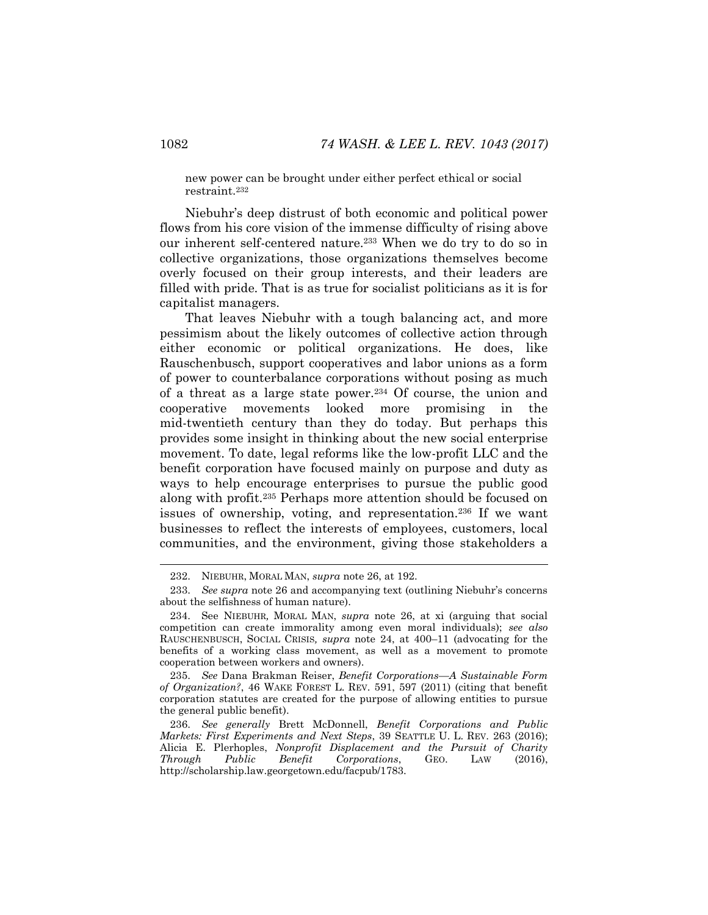new power can be brought under either perfect ethical or social restraint.<sup>232</sup>

Niebuhr's deep distrust of both economic and political power flows from his core vision of the immense difficulty of rising above our inherent self-centered nature.<sup>233</sup> When we do try to do so in collective organizations, those organizations themselves become overly focused on their group interests, and their leaders are filled with pride. That is as true for socialist politicians as it is for capitalist managers.

That leaves Niebuhr with a tough balancing act, and more pessimism about the likely outcomes of collective action through either economic or political organizations. He does, like Rauschenbusch, support cooperatives and labor unions as a form of power to counterbalance corporations without posing as much of a threat as a large state power.<sup>234</sup> Of course, the union and cooperative movements looked more promising in the mid-twentieth century than they do today. But perhaps this provides some insight in thinking about the new social enterprise movement. To date, legal reforms like the low-profit LLC and the benefit corporation have focused mainly on purpose and duty as ways to help encourage enterprises to pursue the public good along with profit.<sup>235</sup> Perhaps more attention should be focused on issues of ownership, voting, and representation.<sup>236</sup> If we want businesses to reflect the interests of employees, customers, local communities, and the environment, giving those stakeholders a

<sup>232.</sup> NIEBUHR, MORAL MAN, *supra* not[e 26,](#page-6-2) at 192.

<sup>233.</sup> *See supra* note [26](#page-6-2) and accompanying text (outlining Niebuhr's concerns about the selfishness of human nature).

<sup>234.</sup> See NIEBUHR*,* MORAL MAN, *supra* note [26,](#page-6-2) at xi (arguing that social competition can create immorality among even moral individuals); *see also* RAUSCHENBUSCH, SOCIAL CRISIS*, supra* note [24,](#page-5-1) at 400–11 (advocating for the benefits of a working class movement, as well as a movement to promote cooperation between workers and owners).

<sup>235.</sup> *See* Dana Brakman Reiser, *Benefit Corporations—A Sustainable Form of Organization?*, 46 WAKE FOREST L. REV. 591, 597 (2011) (citing that benefit corporation statutes are created for the purpose of allowing entities to pursue the general public benefit).

<sup>236.</sup> *See generally* Brett McDonnell, *Benefit Corporations and Public Markets: First Experiments and Next Steps*, 39 SEATTLE U. L. REV. 263 (2016); Alicia E. Plerhoples, *Nonprofit Displacement and the Pursuit of Charity Through Public Benefit Corporations*, GEO. LAW (2016), http://scholarship.law.georgetown.edu/facpub/1783.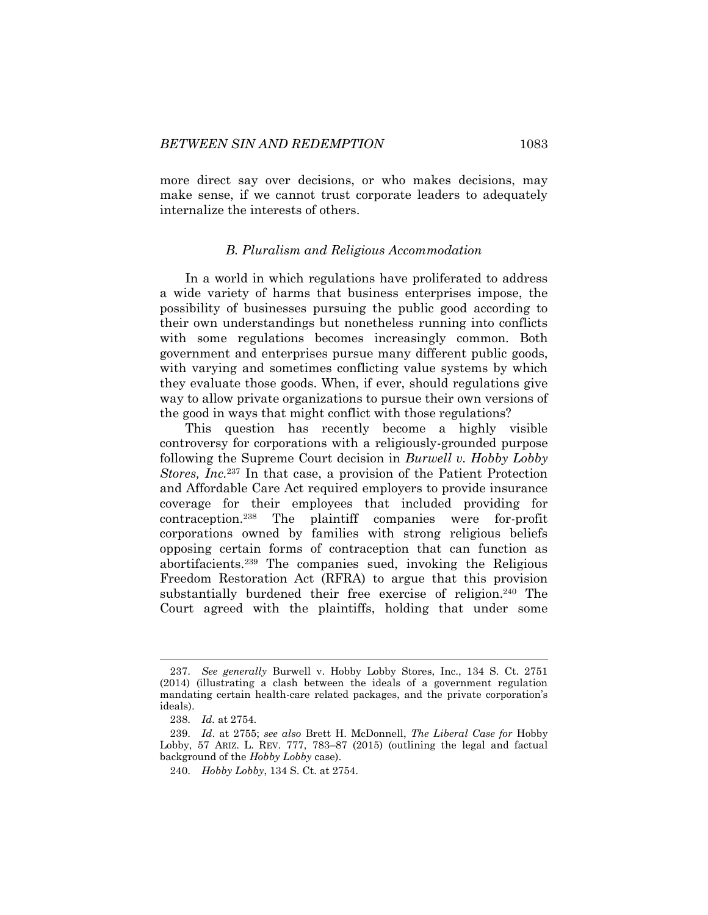more direct say over decisions, or who makes decisions, may make sense, if we cannot trust corporate leaders to adequately internalize the interests of others.

#### *B. Pluralism and Religious Accommodation*

In a world in which regulations have proliferated to address a wide variety of harms that business enterprises impose, the possibility of businesses pursuing the public good according to their own understandings but nonetheless running into conflicts with some regulations becomes increasingly common. Both government and enterprises pursue many different public goods, with varying and sometimes conflicting value systems by which they evaluate those goods. When, if ever, should regulations give way to allow private organizations to pursue their own versions of the good in ways that might conflict with those regulations?

This question has recently become a highly visible controversy for corporations with a religiously-grounded purpose following the Supreme Court decision in *Burwell v. Hobby Lobby Stores, Inc.*<sup>237</sup> In that case, a provision of the Patient Protection and Affordable Care Act required employers to provide insurance coverage for their employees that included providing for contraception.<sup>238</sup> The plaintiff companies were for-profit corporations owned by families with strong religious beliefs opposing certain forms of contraception that can function as abortifacients.<sup>239</sup> The companies sued, invoking the Religious Freedom Restoration Act (RFRA) to argue that this provision substantially burdened their free exercise of religion.<sup>240</sup> The Court agreed with the plaintiffs, holding that under some

<span id="page-41-0"></span><sup>237.</sup> *See generally* Burwell v. Hobby Lobby Stores, Inc., 134 S. Ct. 2751 (2014) (illustrating a clash between the ideals of a government regulation mandating certain health-care related packages, and the private corporation's ideals).

<sup>238.</sup> *Id.* at 2754.

<sup>239.</sup> *Id*. at 2755; *see also* Brett H. McDonnell, *The Liberal Case for* Hobby Lobby, 57 ARIZ. L. REV. 777, 783–87 (2015) (outlining the legal and factual background of the *Hobby Lobby* case).

<sup>240.</sup> *Hobby Lobby*, 134 S. Ct. at 2754.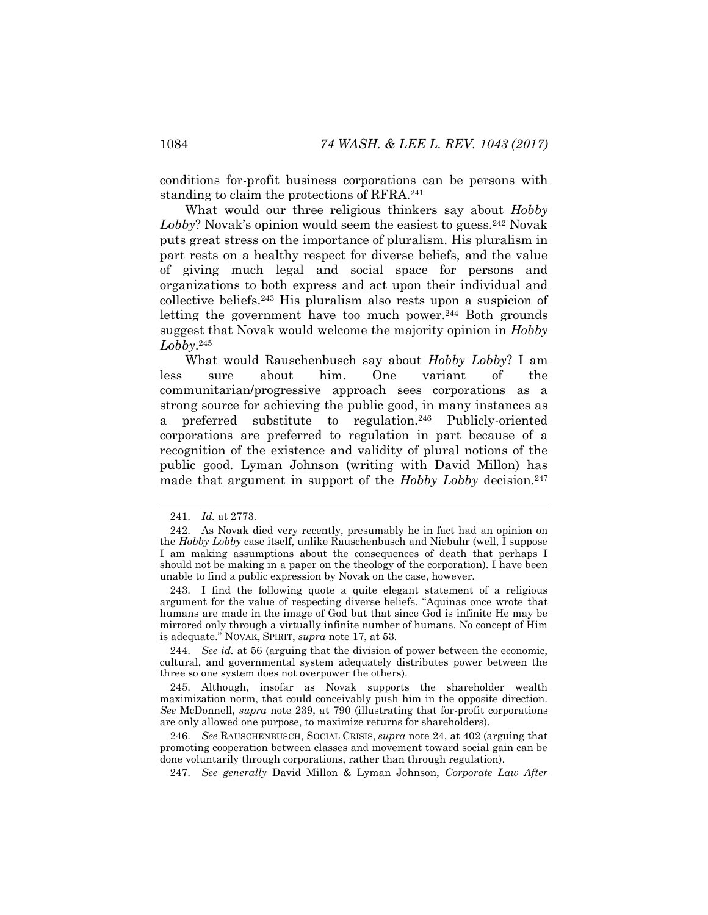conditions for-profit business corporations can be persons with standing to claim the protections of RFRA.<sup>241</sup>

What would our three religious thinkers say about *Hobby*  Lobby? Novak's opinion would seem the easiest to guess.<sup>242</sup> Novak puts great stress on the importance of pluralism. His pluralism in part rests on a healthy respect for diverse beliefs, and the value of giving much legal and social space for persons and organizations to both express and act upon their individual and collective beliefs.<sup>243</sup> His pluralism also rests upon a suspicion of letting the government have too much power. $244$  Both grounds suggest that Novak would welcome the majority opinion in *Hobby Lobby*. 245

What would Rauschenbusch say about *Hobby Lobby*? I am less sure about him. One variant of the communitarian/progressive approach sees corporations as a strong source for achieving the public good, in many instances as a preferred substitute to regulation.<sup>246</sup> Publicly-oriented corporations are preferred to regulation in part because of a recognition of the existence and validity of plural notions of the public good. Lyman Johnson (writing with David Millon) has made that argument in support of the *Hobby Lobby* decision.<sup>247</sup>

247. *See generally* David Millon & Lyman Johnson, *Corporate Law After* 

<sup>241.</sup> *Id.* at 2773.

<sup>242.</sup> As Novak died very recently, presumably he in fact had an opinion on the *Hobby Lobby* case itself, unlike Rauschenbusch and Niebuhr (well, I suppose I am making assumptions about the consequences of death that perhaps I should not be making in a paper on the theology of the corporation). I have been unable to find a public expression by Novak on the case, however.

<sup>243.</sup> I find the following quote a quite elegant statement of a religious argument for the value of respecting diverse beliefs. "Aquinas once wrote that humans are made in the image of God but that since God is infinite He may be mirrored only through a virtually infinite number of humans. No concept of Him is adequate." NOVAK, SPIRIT, *supra* note [17,](#page-4-0) at 53.

<sup>244.</sup> *See id.* at 56 (arguing that the division of power between the economic, cultural, and governmental system adequately distributes power between the three so one system does not overpower the others).

<sup>245.</sup> Although, insofar as Novak supports the shareholder wealth maximization norm, that could conceivably push him in the opposite direction. *See* McDonnell, *supra* note [239,](#page-41-0) at 790 (illustrating that for-profit corporations are only allowed one purpose, to maximize returns for shareholders).

<sup>246.</sup> *See* RAUSCHENBUSCH, SOCIAL CRISIS, *supra* note [24,](#page-5-1) at 402 (arguing that promoting cooperation between classes and movement toward social gain can be done voluntarily through corporations, rather than through regulation).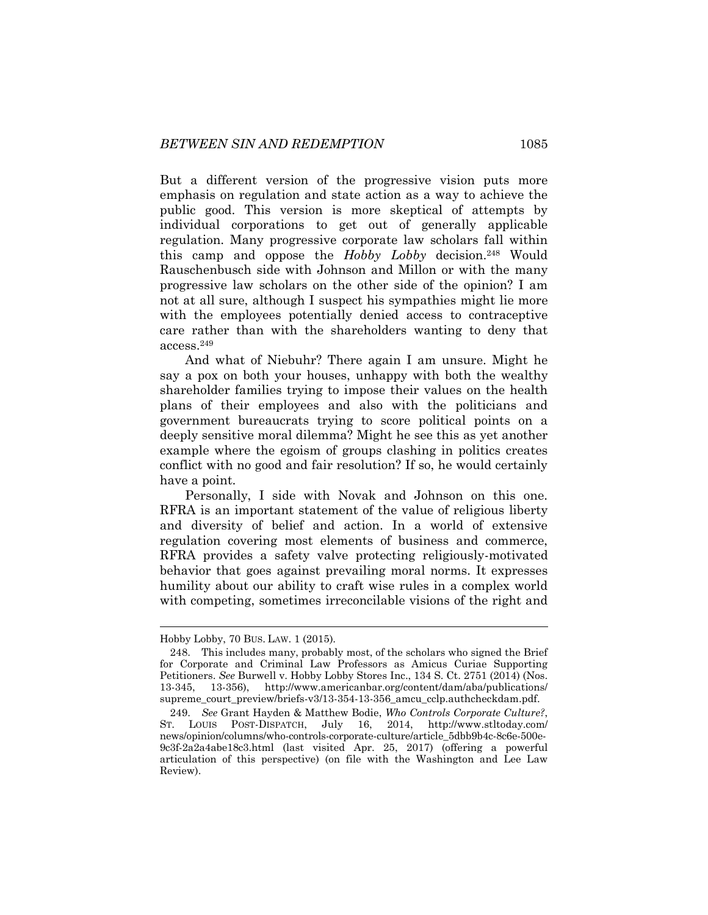But a different version of the progressive vision puts more emphasis on regulation and state action as a way to achieve the public good. This version is more skeptical of attempts by individual corporations to get out of generally applicable regulation. Many progressive corporate law scholars fall within this camp and oppose the *Hobby Lobby* decision.<sup>248</sup> Would Rauschenbusch side with Johnson and Millon or with the many progressive law scholars on the other side of the opinion? I am not at all sure, although I suspect his sympathies might lie more with the employees potentially denied access to contraceptive care rather than with the shareholders wanting to deny that access.<sup>249</sup>

And what of Niebuhr? There again I am unsure. Might he say a pox on both your houses, unhappy with both the wealthy shareholder families trying to impose their values on the health plans of their employees and also with the politicians and government bureaucrats trying to score political points on a deeply sensitive moral dilemma? Might he see this as yet another example where the egoism of groups clashing in politics creates conflict with no good and fair resolution? If so, he would certainly have a point.

Personally, I side with Novak and Johnson on this one. RFRA is an important statement of the value of religious liberty and diversity of belief and action. In a world of extensive regulation covering most elements of business and commerce, RFRA provides a safety valve protecting religiously-motivated behavior that goes against prevailing moral norms. It expresses humility about our ability to craft wise rules in a complex world with competing, sometimes irreconcilable visions of the right and

Hobby Lobby, 70 BUS. LAW. 1 (2015).

<sup>248.</sup> This includes many, probably most, of the scholars who signed the Brief for Corporate and Criminal Law Professors as Amicus Curiae Supporting Petitioners. *See* Burwell v. Hobby Lobby Stores Inc., 134 S. Ct. 2751 (2014) (Nos. 13-345, 13-356), http://www.americanbar.org/content/dam/aba/publications/ supreme\_court\_preview/briefs-v3/13-354-13-356\_amcu\_cclp.authcheckdam.pdf.

<sup>249.</sup> *See* Grant Hayden & Matthew Bodie, *Who Controls Corporate Culture?*, ST. LOUIS POST-DISPATCH, July 16, 2014, http://www.stltoday.com/ news/opinion/columns/who-controls-corporate-culture/article\_5dbb9b4c-8c6e-500e-9c3f-2a2a4abe18c3.html (last visited Apr. 25, 2017) (offering a powerful articulation of this perspective) (on file with the Washington and Lee Law Review).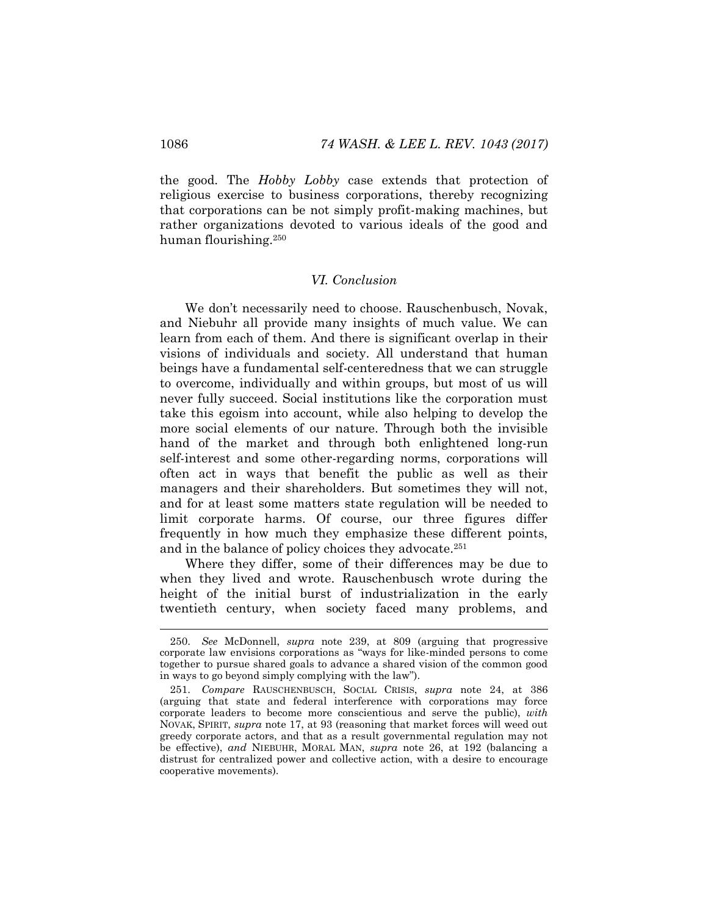the good. The *Hobby Lobby* case extends that protection of religious exercise to business corporations, thereby recognizing that corporations can be not simply profit-making machines, but rather organizations devoted to various ideals of the good and human flourishing.<sup>250</sup>

## *VI. Conclusion*

We don't necessarily need to choose. Rauschenbusch, Novak, and Niebuhr all provide many insights of much value. We can learn from each of them. And there is significant overlap in their visions of individuals and society. All understand that human beings have a fundamental self-centeredness that we can struggle to overcome, individually and within groups, but most of us will never fully succeed. Social institutions like the corporation must take this egoism into account, while also helping to develop the more social elements of our nature. Through both the invisible hand of the market and through both enlightened long-run self-interest and some other-regarding norms, corporations will often act in ways that benefit the public as well as their managers and their shareholders. But sometimes they will not, and for at least some matters state regulation will be needed to limit corporate harms. Of course, our three figures differ frequently in how much they emphasize these different points, and in the balance of policy choices they advocate.<sup>251</sup>

Where they differ, some of their differences may be due to when they lived and wrote. Rauschenbusch wrote during the height of the initial burst of industrialization in the early twentieth century, when society faced many problems, and

<sup>250.</sup> *See* McDonnell, *supra* note [239,](#page-41-0) at 809 (arguing that progressive corporate law envisions corporations as "ways for like-minded persons to come together to pursue shared goals to advance a shared vision of the common good in ways to go beyond simply complying with the law").

<sup>251.</sup> *Compare* RAUSCHENBUSCH, SOCIAL CRISIS, *supra* note [24,](#page-5-1) at 386 (arguing that state and federal interference with corporations may force corporate leaders to become more conscientious and serve the public), *with*  NOVAK, SPIRIT, *supra* note [17,](#page-4-0) at 93 (reasoning that market forces will weed out greedy corporate actors, and that as a result governmental regulation may not be effective), *and* NIEBUHR, MORAL MAN, *supra* note [26,](#page-6-2) at 192 (balancing a distrust for centralized power and collective action, with a desire to encourage cooperative movements).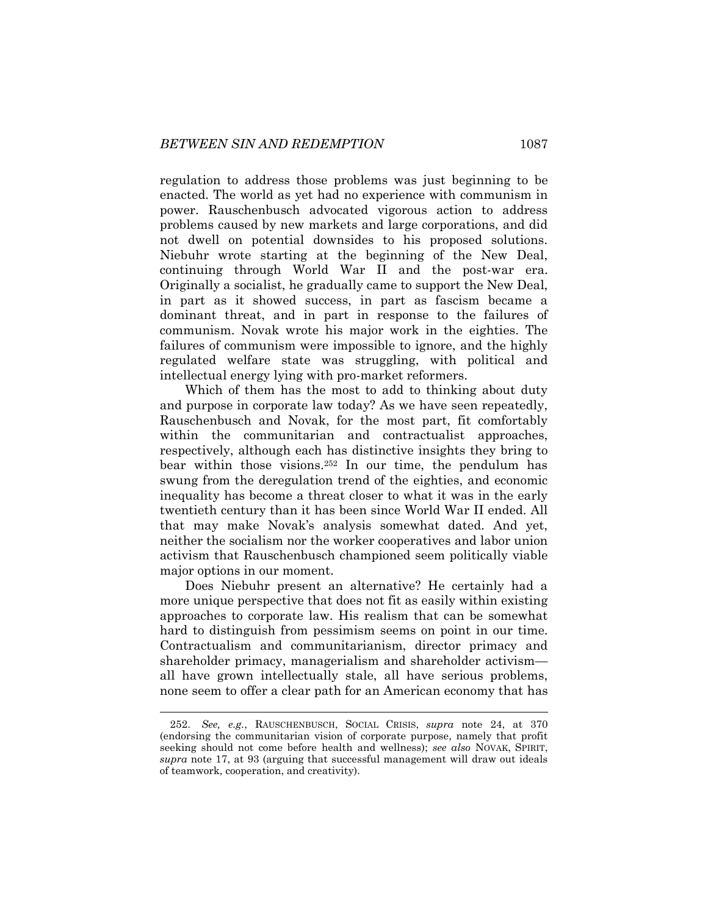regulation to address those problems was just beginning to be enacted. The world as yet had no experience with communism in power. Rauschenbusch advocated vigorous action to address problems caused by new markets and large corporations, and did not dwell on potential downsides to his proposed solutions. Niebuhr wrote starting at the beginning of the New Deal, continuing through World War II and the post-war era. Originally a socialist, he gradually came to support the New Deal, in part as it showed success, in part as fascism became a dominant threat, and in part in response to the failures of communism. Novak wrote his major work in the eighties. The failures of communism were impossible to ignore, and the highly regulated welfare state was struggling, with political and intellectual energy lying with pro-market reformers.

Which of them has the most to add to thinking about duty and purpose in corporate law today? As we have seen repeatedly, Rauschenbusch and Novak, for the most part, fit comfortably within the communitarian and contractualist approaches, respectively, although each has distinctive insights they bring to bear within those visions.<sup>252</sup> In our time, the pendulum has swung from the deregulation trend of the eighties, and economic inequality has become a threat closer to what it was in the early twentieth century than it has been since World War II ended. All that may make Novak's analysis somewhat dated. And yet, neither the socialism nor the worker cooperatives and labor union activism that Rauschenbusch championed seem politically viable major options in our moment.

Does Niebuhr present an alternative? He certainly had a more unique perspective that does not fit as easily within existing approaches to corporate law. His realism that can be somewhat hard to distinguish from pessimism seems on point in our time. Contractualism and communitarianism, director primacy and shareholder primacy, managerialism and shareholder activism all have grown intellectually stale, all have serious problems, none seem to offer a clear path for an American economy that has

<sup>252.</sup> *See, e.g.*, RAUSCHENBUSCH, SOCIAL CRISIS, *supra* note [24,](#page-5-1) at 370 (endorsing the communitarian vision of corporate purpose, namely that profit seeking should not come before health and wellness); *see also* NOVAK, SPIRIT, *supra* note [17,](#page-4-0) at 93 (arguing that successful management will draw out ideals of teamwork, cooperation, and creativity).